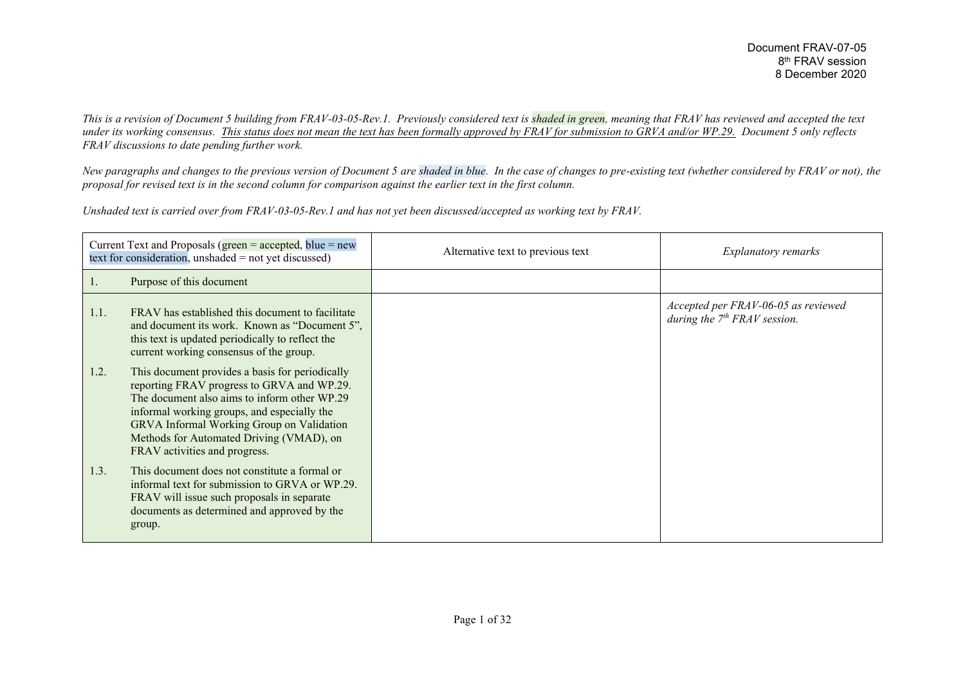*This is a revision of Document 5 building from FRAV-03-05-Rev.1. Previously considered text is shaded in green, meaning that FRAV has reviewed and accepted the text under its working consensus. This status does not mean the text has been formally approved by FRAV for submission to GRVA and/or WP.29. Document 5 only reflects FRAV discussions to date pending further work.*

*New paragraphs and changes to the previous version of Document 5 are shaded in blue. In the case of changes to pre-existing text (whether considered by FRAV or not), the proposal for revised text is in the second column for comparison against the earlier text in the first column.*

*Unshaded text is carried over from FRAV-03-05-Rev.1 and has not yet been discussed/accepted as working text by FRAV.*

| Current Text and Proposals ( $green = accepted$ , blue = new<br>text for consideration, unshaded $=$ not yet discussed) |                                                                                                                                                                                                                                                                                                                        | Alternative text to previous text | <b>Explanatory remarks</b>                                            |
|-------------------------------------------------------------------------------------------------------------------------|------------------------------------------------------------------------------------------------------------------------------------------------------------------------------------------------------------------------------------------------------------------------------------------------------------------------|-----------------------------------|-----------------------------------------------------------------------|
| 1.                                                                                                                      | Purpose of this document                                                                                                                                                                                                                                                                                               |                                   |                                                                       |
| 1.1.                                                                                                                    | FRAV has established this document to facilitate<br>and document its work. Known as "Document 5",<br>this text is updated periodically to reflect the<br>current working consensus of the group.                                                                                                                       |                                   | Accepted per FRAV-06-05 as reviewed<br>during the $7th FRAV$ session. |
| 1.2.                                                                                                                    | This document provides a basis for periodically<br>reporting FRAV progress to GRVA and WP.29.<br>The document also aims to inform other WP.29<br>informal working groups, and especially the<br>GRVA Informal Working Group on Validation<br>Methods for Automated Driving (VMAD), on<br>FRAV activities and progress. |                                   |                                                                       |
| 1.3.                                                                                                                    | This document does not constitute a formal or<br>informal text for submission to GRVA or WP.29.<br>FRAV will issue such proposals in separate<br>documents as determined and approved by the<br>group.                                                                                                                 |                                   |                                                                       |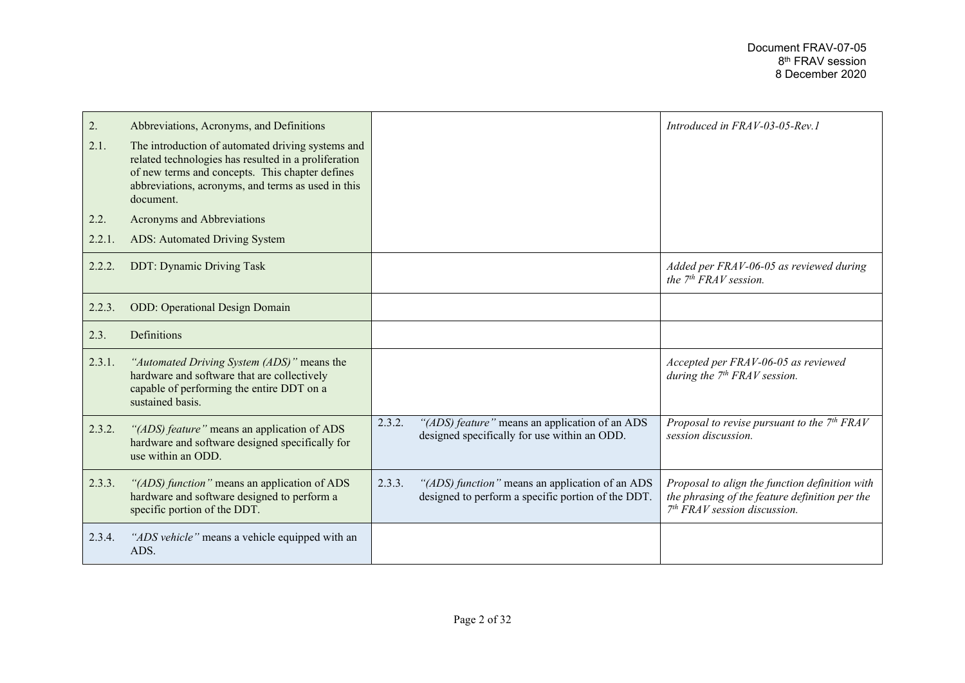| 2.     | Abbreviations, Acronyms, and Definitions                                                                                                                                                                                        |        |                                                                                                       | Introduced in FRAV-03-05-Rev.1                                                                                                     |
|--------|---------------------------------------------------------------------------------------------------------------------------------------------------------------------------------------------------------------------------------|--------|-------------------------------------------------------------------------------------------------------|------------------------------------------------------------------------------------------------------------------------------------|
| 2.1.   | The introduction of automated driving systems and<br>related technologies has resulted in a proliferation<br>of new terms and concepts. This chapter defines<br>abbreviations, acronyms, and terms as used in this<br>document. |        |                                                                                                       |                                                                                                                                    |
| 2.2.   | Acronyms and Abbreviations                                                                                                                                                                                                      |        |                                                                                                       |                                                                                                                                    |
| 2.2.1. | ADS: Automated Driving System                                                                                                                                                                                                   |        |                                                                                                       |                                                                                                                                    |
| 2.2.2. | <b>DDT: Dynamic Driving Task</b>                                                                                                                                                                                                |        |                                                                                                       | Added per FRAV-06-05 as reviewed during<br>the $7th FRAV$ session.                                                                 |
| 2.2.3. | <b>ODD:</b> Operational Design Domain                                                                                                                                                                                           |        |                                                                                                       |                                                                                                                                    |
| 2.3.   | Definitions                                                                                                                                                                                                                     |        |                                                                                                       |                                                                                                                                    |
| 2.3.1. | "Automated Driving System (ADS)" means the<br>hardware and software that are collectively<br>capable of performing the entire DDT on a<br>sustained basis.                                                                      |        |                                                                                                       | Accepted per FRAV-06-05 as reviewed<br>during the $7th FRAV$ session.                                                              |
| 2.3.2. | "(ADS) feature" means an application of ADS<br>hardware and software designed specifically for<br>use within an ODD.                                                                                                            | 2.3.2. | "(ADS) feature" means an application of an ADS<br>designed specifically for use within an ODD.        | Proposal to revise pursuant to the $7th FRAV$<br>session discussion.                                                               |
| 2.3.3. | "(ADS) function" means an application of ADS<br>hardware and software designed to perform a<br>specific portion of the DDT.                                                                                                     | 2.3.3. | "(ADS) function" means an application of an ADS<br>designed to perform a specific portion of the DDT. | Proposal to align the function definition with<br>the phrasing of the feature definition per the<br>$7th FRAV session discussion.$ |
| 2.3.4. | "ADS vehicle" means a vehicle equipped with an<br>ADS.                                                                                                                                                                          |        |                                                                                                       |                                                                                                                                    |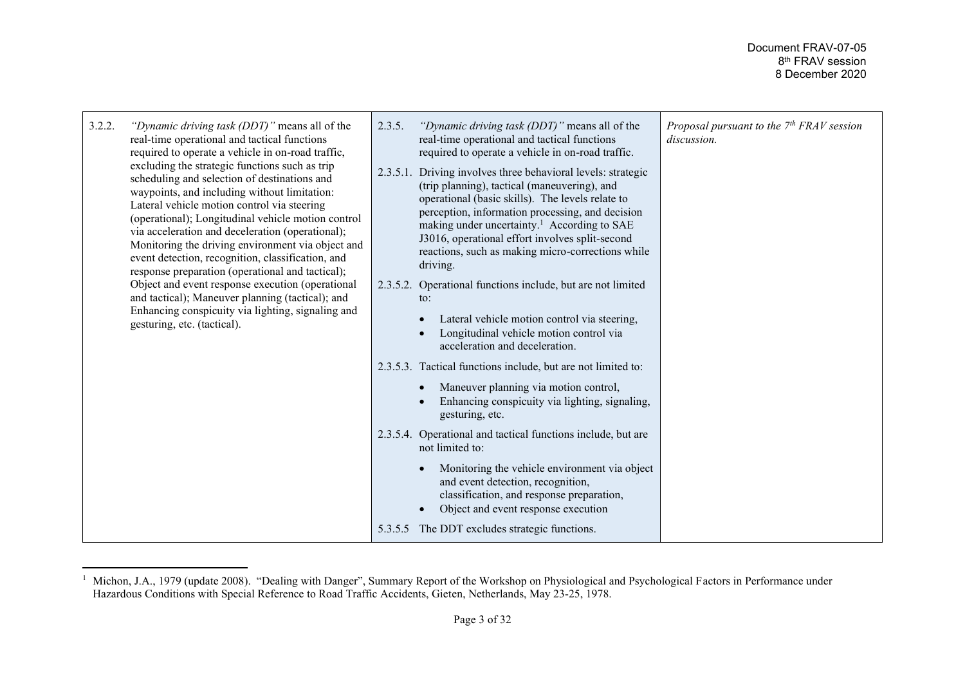| 3.2.2.<br>"Dynamic driving task (DDT)" means all of the<br>real-time operational and tactical functions<br>required to operate a vehicle in on-road traffic,<br>excluding the strategic functions such as trip<br>scheduling and selection of destinations and<br>waypoints, and including without limitation:<br>Lateral vehicle motion control via steering<br>(operational); Longitudinal vehicle motion control<br>via acceleration and deceleration (operational);<br>Monitoring the driving environment via object and<br>event detection, recognition, classification, and<br>response preparation (operational and tactical);<br>Object and event response execution (operational<br>and tactical); Maneuver planning (tactical); and<br>Enhancing conspicuity via lighting, signaling and<br>gesturing, etc. (tactical). | 2.3.5.<br>"Dynamic driving task (DDT)" means all of the<br>real-time operational and tactical functions<br>required to operate a vehicle in on-road traffic.<br>2.3.5.1. Driving involves three behavioral levels: strategic<br>(trip planning), tactical (maneuvering), and<br>operational (basic skills). The levels relate to<br>perception, information processing, and decision<br>making under uncertainty. <sup>1</sup> According to SAE<br>J3016, operational effort involves split-second<br>reactions, such as making micro-corrections while<br>driving.<br>2.3.5.2. Operational functions include, but are not limited<br>$\mathsf{to}$ :<br>Lateral vehicle motion control via steering,<br>Longitudinal vehicle motion control via<br>acceleration and deceleration.<br>2.3.5.3. Tactical functions include, but are not limited to:<br>Maneuver planning via motion control,<br>Enhancing conspicuity via lighting, signaling,<br>gesturing, etc. | Proposal pursuant to the 7 <sup>th</sup> FRAV session<br>discussion. |
|-----------------------------------------------------------------------------------------------------------------------------------------------------------------------------------------------------------------------------------------------------------------------------------------------------------------------------------------------------------------------------------------------------------------------------------------------------------------------------------------------------------------------------------------------------------------------------------------------------------------------------------------------------------------------------------------------------------------------------------------------------------------------------------------------------------------------------------|------------------------------------------------------------------------------------------------------------------------------------------------------------------------------------------------------------------------------------------------------------------------------------------------------------------------------------------------------------------------------------------------------------------------------------------------------------------------------------------------------------------------------------------------------------------------------------------------------------------------------------------------------------------------------------------------------------------------------------------------------------------------------------------------------------------------------------------------------------------------------------------------------------------------------------------------------------------|----------------------------------------------------------------------|
|                                                                                                                                                                                                                                                                                                                                                                                                                                                                                                                                                                                                                                                                                                                                                                                                                                   | 2.3.5.4. Operational and tactical functions include, but are<br>not limited to:<br>Monitoring the vehicle environment via object<br>and event detection, recognition,<br>classification, and response preparation,<br>Object and event response execution<br>5.3.5.5 The DDT excludes strategic functions.                                                                                                                                                                                                                                                                                                                                                                                                                                                                                                                                                                                                                                                       |                                                                      |

<sup>&</sup>lt;sup>1</sup> Michon, J.A., 1979 (update 2008). "Dealing with Danger", Summary Report of the Workshop on Physiological and Psychological Factors in Performance under Hazardous Conditions with Special Reference to Road Traffic Accidents, Gieten, Netherlands, May 23-25, 1978.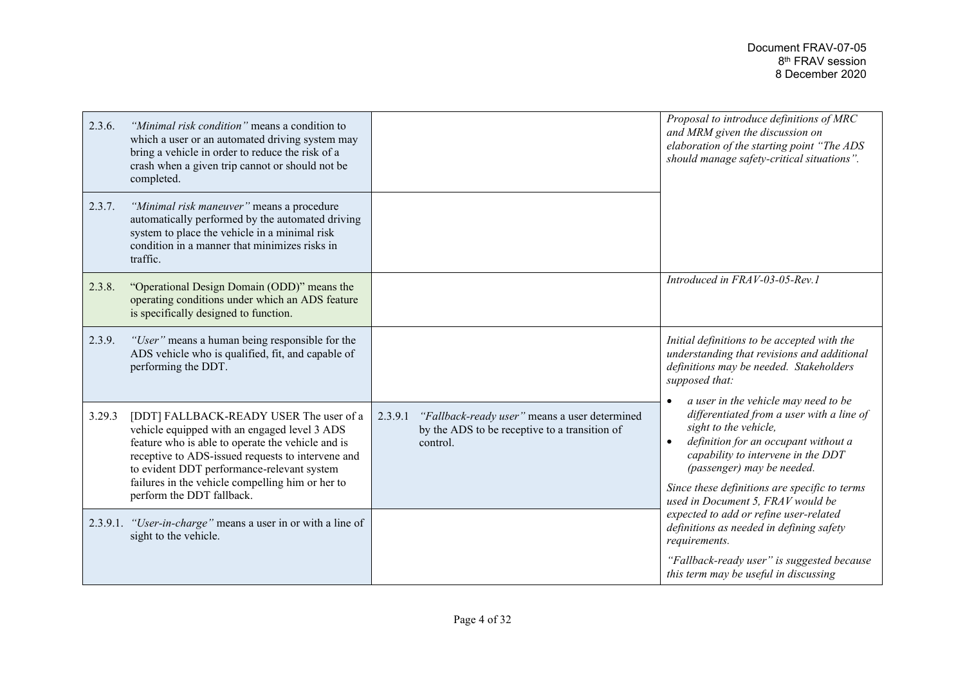| 2.3.6. | "Minimal risk condition" means a condition to<br>which a user or an automated driving system may<br>bring a vehicle in order to reduce the risk of a<br>crash when a given trip cannot or should not be<br>completed.                                                                                                            |                                                                                                                       | Proposal to introduce definitions of MRC<br>and MRM given the discussion on<br>elaboration of the starting point "The ADS<br>should manage safety-critical situations".                                                                                                                                      |
|--------|----------------------------------------------------------------------------------------------------------------------------------------------------------------------------------------------------------------------------------------------------------------------------------------------------------------------------------|-----------------------------------------------------------------------------------------------------------------------|--------------------------------------------------------------------------------------------------------------------------------------------------------------------------------------------------------------------------------------------------------------------------------------------------------------|
| 2.3.7. | "Minimal risk maneuver" means a procedure<br>automatically performed by the automated driving<br>system to place the vehicle in a minimal risk<br>condition in a manner that minimizes risks in<br>traffic.                                                                                                                      |                                                                                                                       |                                                                                                                                                                                                                                                                                                              |
| 2.3.8. | "Operational Design Domain (ODD)" means the<br>operating conditions under which an ADS feature<br>is specifically designed to function.                                                                                                                                                                                          |                                                                                                                       | Introduced in FRAV-03-05-Rev.1                                                                                                                                                                                                                                                                               |
| 2.3.9. | "User" means a human being responsible for the<br>ADS vehicle who is qualified, fit, and capable of<br>performing the DDT.                                                                                                                                                                                                       |                                                                                                                       | Initial definitions to be accepted with the<br>understanding that revisions and additional<br>definitions may be needed. Stakeholders<br>supposed that:                                                                                                                                                      |
| 3.29.3 | [DDT] FALLBACK-READY USER The user of a<br>vehicle equipped with an engaged level 3 ADS<br>feature who is able to operate the vehicle and is<br>receptive to ADS-issued requests to intervene and<br>to evident DDT performance-relevant system<br>failures in the vehicle compelling him or her to<br>perform the DDT fallback. | "Fallback-ready user" means a user determined<br>2.3.9.1<br>by the ADS to be receptive to a transition of<br>control. | a user in the vehicle may need to be<br>differentiated from a user with a line of<br>sight to the vehicle,<br>definition for an occupant without a<br>capability to intervene in the DDT<br>(passenger) may be needed.<br>Since these definitions are specific to terms<br>used in Document 5, FRAV would be |
|        | 2.3.9.1. "User-in-charge" means a user in or with a line of<br>sight to the vehicle.                                                                                                                                                                                                                                             |                                                                                                                       | expected to add or refine user-related<br>definitions as needed in defining safety<br>requirements.                                                                                                                                                                                                          |
|        |                                                                                                                                                                                                                                                                                                                                  |                                                                                                                       | "Fallback-ready user" is suggested because<br>this term may be useful in discussing                                                                                                                                                                                                                          |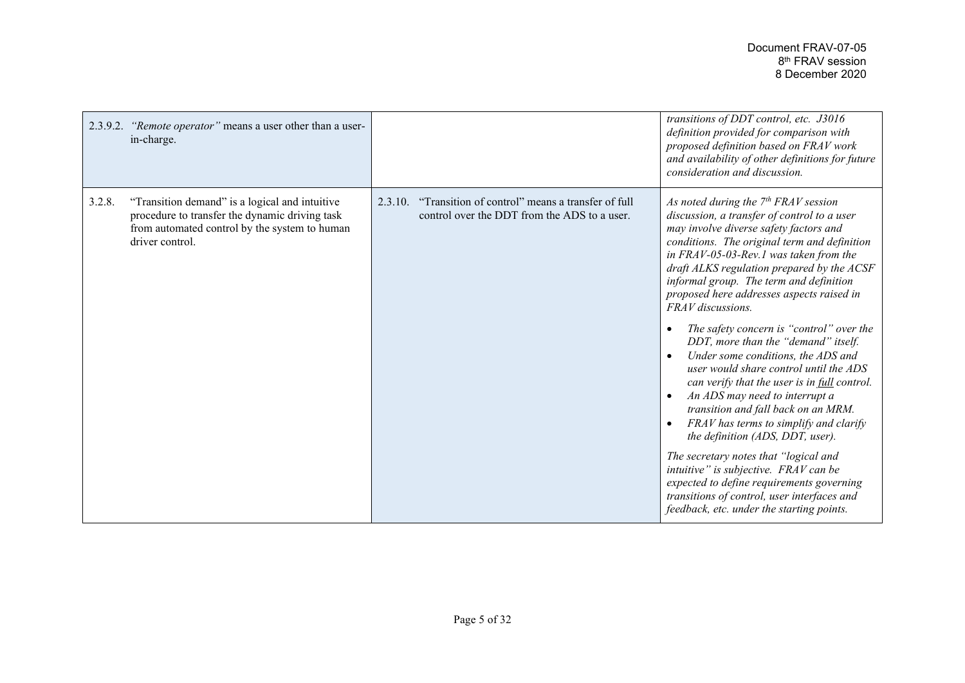| in-charge.                | 2.3.9.2. "Remote operator" means a user other than a user-                                                                                        |                                                                                                             | transitions of DDT control, etc. J3016<br>definition provided for comparison with<br>proposed definition based on FRAV work<br>and availability of other definitions for future<br>consideration and discussion.                                                                                                                                                                                                                                                                                                                                                                                                                                                                                                                                                                                                                                                                                                                                                                          |
|---------------------------|---------------------------------------------------------------------------------------------------------------------------------------------------|-------------------------------------------------------------------------------------------------------------|-------------------------------------------------------------------------------------------------------------------------------------------------------------------------------------------------------------------------------------------------------------------------------------------------------------------------------------------------------------------------------------------------------------------------------------------------------------------------------------------------------------------------------------------------------------------------------------------------------------------------------------------------------------------------------------------------------------------------------------------------------------------------------------------------------------------------------------------------------------------------------------------------------------------------------------------------------------------------------------------|
| 3.2.8.<br>driver control. | "Transition demand" is a logical and intuitive<br>procedure to transfer the dynamic driving task<br>from automated control by the system to human | "Transition of control" means a transfer of full<br>2.3.10.<br>control over the DDT from the ADS to a user. | As noted during the $7th FRAV$ session<br>discussion, a transfer of control to a user<br>may involve diverse safety factors and<br>conditions. The original term and definition<br>in FRAV-05-03-Rev.1 was taken from the<br>draft ALKS regulation prepared by the ACSF<br>informal group. The term and definition<br>proposed here addresses aspects raised in<br>FRAV discussions.<br>The safety concern is "control" over the<br>DDT, more than the "demand" itself.<br>Under some conditions, the ADS and<br>user would share control until the ADS<br>can verify that the user is in full control.<br>An ADS may need to interrupt a<br>transition and fall back on an MRM.<br>FRAV has terms to simplify and clarify<br>the definition (ADS, DDT, user).<br>The secretary notes that "logical and<br>intuitive" is subjective. FRAV can be<br>expected to define requirements governing<br>transitions of control, user interfaces and<br>feedback, etc. under the starting points. |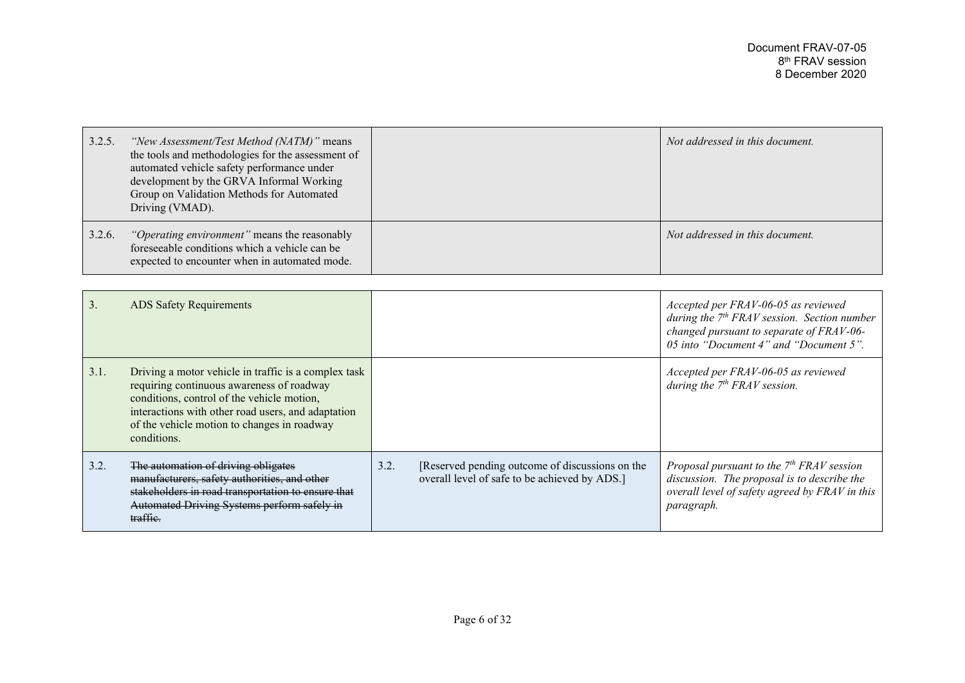| 3.2.5. | "New Assessment/Test Method (NATM)" means<br>the tools and methodologies for the assessment of<br>automated vehicle safety performance under<br>development by the GRVA Informal Working<br>Group on Validation Methods for Automated<br>Driving (VMAD). | Not addressed in this document. |
|--------|----------------------------------------------------------------------------------------------------------------------------------------------------------------------------------------------------------------------------------------------------------|---------------------------------|
| 3.2.6. | "Operating environment" means the reasonably<br>foreseeable conditions which a vehicle can be<br>expected to encounter when in automated mode.                                                                                                           | Not addressed in this document. |

| 3.   | <b>ADS Safety Requirements</b>                                                                                                                                                                                                                                      |      |                                                                                                  | Accepted per FRAV-06-05 as reviewed<br>during the $7th FRAV$ session. Section number<br>changed pursuant to separate of FRAV-06-<br>05 into "Document 4" and "Document 5". |
|------|---------------------------------------------------------------------------------------------------------------------------------------------------------------------------------------------------------------------------------------------------------------------|------|--------------------------------------------------------------------------------------------------|----------------------------------------------------------------------------------------------------------------------------------------------------------------------------|
| 3.1. | Driving a motor vehicle in traffic is a complex task<br>requiring continuous awareness of roadway<br>conditions, control of the vehicle motion,<br>interactions with other road users, and adaptation<br>of the vehicle motion to changes in roadway<br>conditions. |      |                                                                                                  | Accepted per FRAV-06-05 as reviewed<br>during the $7th FRAV$ session.                                                                                                      |
| 3.2. | The automation of driving obligates<br>manufacturers, safety authorities, and other<br>stakeholders in road transportation to ensure that<br>Automated Driving Systems perform safely in<br>traffie.                                                                | 3.2. | [Reserved pending outcome of discussions on the<br>overall level of safe to be achieved by ADS.] | Proposal pursuant to the $7th FRAV$ session<br>discussion. The proposal is to describe the<br>overall level of safety agreed by FRAV in this<br>paragraph.                 |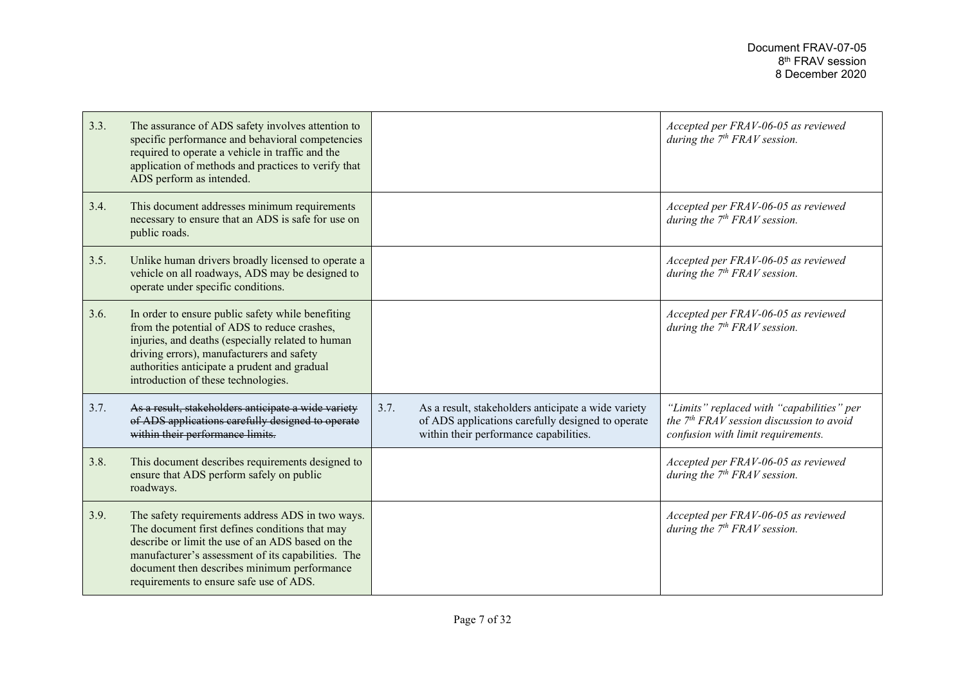| 3.3. | The assurance of ADS safety involves attention to<br>specific performance and behavioral competencies<br>required to operate a vehicle in traffic and the<br>application of methods and practices to verify that<br>ADS perform as intended.                                                           |                                                                                                                                                            | Accepted per FRAV-06-05 as reviewed<br>during the $7th FRAV$ session.                                                         |
|------|--------------------------------------------------------------------------------------------------------------------------------------------------------------------------------------------------------------------------------------------------------------------------------------------------------|------------------------------------------------------------------------------------------------------------------------------------------------------------|-------------------------------------------------------------------------------------------------------------------------------|
| 3.4. | This document addresses minimum requirements<br>necessary to ensure that an ADS is safe for use on<br>public roads.                                                                                                                                                                                    |                                                                                                                                                            | Accepted per FRAV-06-05 as reviewed<br>during the $7th FRAV$ session.                                                         |
| 3.5. | Unlike human drivers broadly licensed to operate a<br>vehicle on all roadways, ADS may be designed to<br>operate under specific conditions.                                                                                                                                                            |                                                                                                                                                            | Accepted per FRAV-06-05 as reviewed<br>during the $7th FRAV$ session.                                                         |
| 3.6. | In order to ensure public safety while benefiting<br>from the potential of ADS to reduce crashes,<br>injuries, and deaths (especially related to human<br>driving errors), manufacturers and safety<br>authorities anticipate a prudent and gradual<br>introduction of these technologies.             |                                                                                                                                                            | Accepted per FRAV-06-05 as reviewed<br>during the $7th FRAV$ session.                                                         |
| 3.7. | As a result, stakeholders anticipate a wide variety<br>of ADS applications carefully designed to operate<br>within their performance limits.                                                                                                                                                           | 3.7.<br>As a result, stakeholders anticipate a wide variety<br>of ADS applications carefully designed to operate<br>within their performance capabilities. | "Limits" replaced with "capabilities" per<br>the $7th FRAV$ session discussion to avoid<br>confusion with limit requirements. |
| 3.8. | This document describes requirements designed to<br>ensure that ADS perform safely on public<br>roadways.                                                                                                                                                                                              |                                                                                                                                                            | Accepted per FRAV-06-05 as reviewed<br>during the $7th FRAVsession$ .                                                         |
| 3.9. | The safety requirements address ADS in two ways.<br>The document first defines conditions that may<br>describe or limit the use of an ADS based on the<br>manufacturer's assessment of its capabilities. The<br>document then describes minimum performance<br>requirements to ensure safe use of ADS. |                                                                                                                                                            | Accepted per FRAV-06-05 as reviewed<br>during the $7th FRAV$ session.                                                         |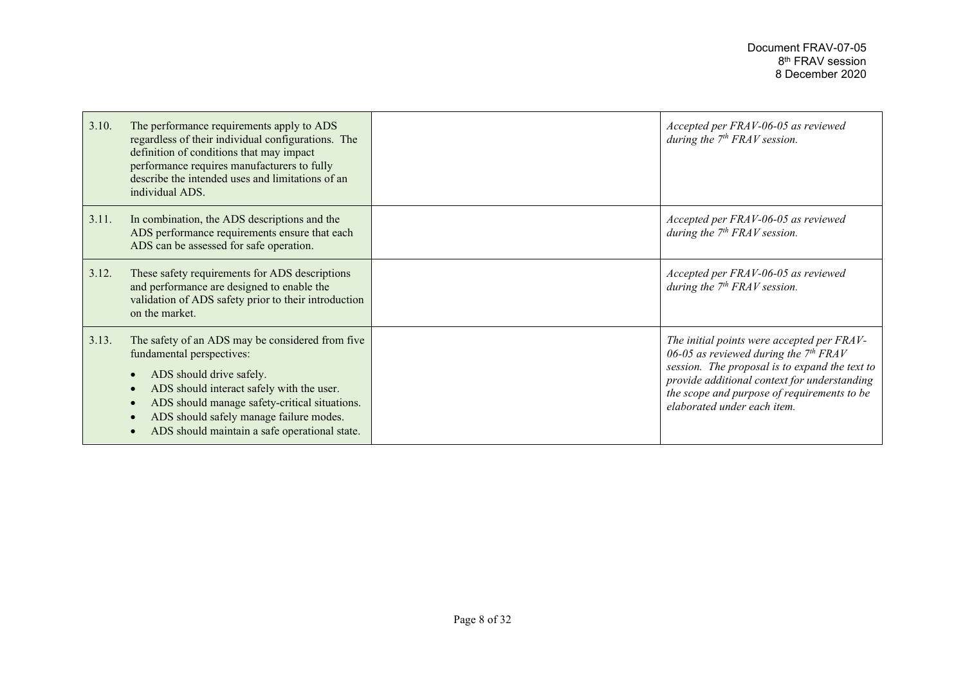| 3.10. | The performance requirements apply to ADS<br>regardless of their individual configurations. The<br>definition of conditions that may impact<br>performance requires manufacturers to fully<br>describe the intended uses and limitations of an<br>individual ADS.                                   | Accepted per FRAV-06-05 as reviewed<br>during the $7th FRAV$ session.                                                                                                                                                                                                 |
|-------|-----------------------------------------------------------------------------------------------------------------------------------------------------------------------------------------------------------------------------------------------------------------------------------------------------|-----------------------------------------------------------------------------------------------------------------------------------------------------------------------------------------------------------------------------------------------------------------------|
| 3.11. | In combination, the ADS descriptions and the<br>ADS performance requirements ensure that each<br>ADS can be assessed for safe operation.                                                                                                                                                            | Accepted per FRAV-06-05 as reviewed<br>during the $7th FRAV$ session.                                                                                                                                                                                                 |
| 3.12. | These safety requirements for ADS descriptions<br>and performance are designed to enable the<br>validation of ADS safety prior to their introduction<br>on the market.                                                                                                                              | Accepted per FRAV-06-05 as reviewed<br>during the $7th FRAV$ session.                                                                                                                                                                                                 |
| 3.13. | The safety of an ADS may be considered from five<br>fundamental perspectives:<br>ADS should drive safely.<br>ADS should interact safely with the user.<br>ADS should manage safety-critical situations.<br>ADS should safely manage failure modes.<br>ADS should maintain a safe operational state. | The initial points were accepted per FRAV-<br>06-05 as reviewed during the $7th FRAV$<br>session. The proposal is to expand the text to<br>provide additional context for understanding<br>the scope and purpose of requirements to be<br>elaborated under each item. |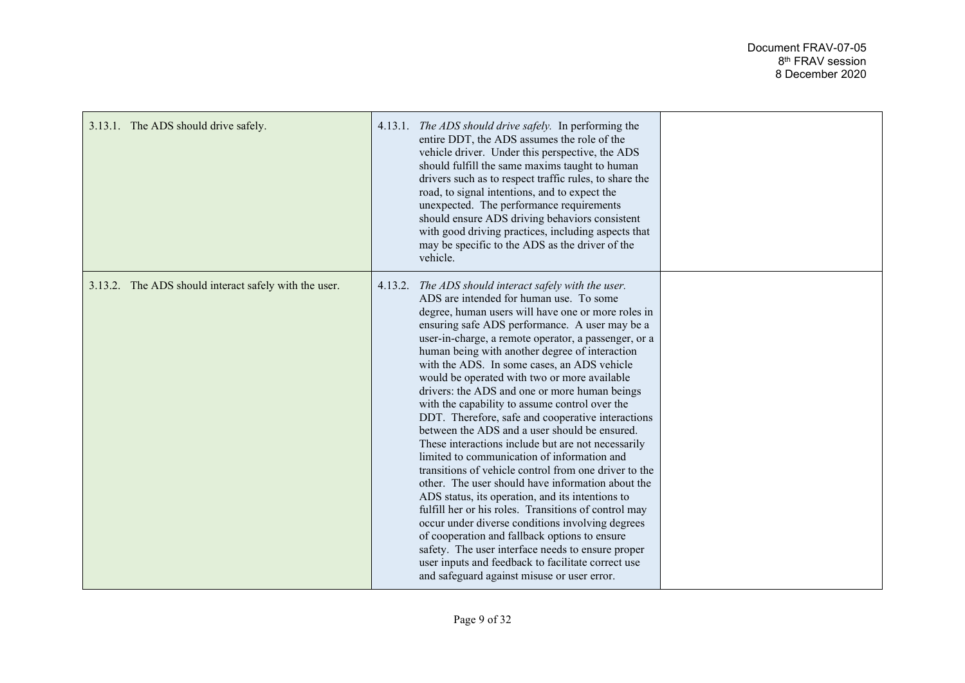| 3.13.1. The ADS should drive safely.                  | 4.13.1. The ADS should drive safely. In performing the<br>entire DDT, the ADS assumes the role of the<br>vehicle driver. Under this perspective, the ADS<br>should fulfill the same maxims taught to human<br>drivers such as to respect traffic rules, to share the<br>road, to signal intentions, and to expect the<br>unexpected. The performance requirements<br>should ensure ADS driving behaviors consistent<br>with good driving practices, including aspects that<br>may be specific to the ADS as the driver of the<br>vehicle.                                                                                                                                                                                                                                                                                                                                                                                                                                                                                                                                                                                                                                                                                |  |
|-------------------------------------------------------|--------------------------------------------------------------------------------------------------------------------------------------------------------------------------------------------------------------------------------------------------------------------------------------------------------------------------------------------------------------------------------------------------------------------------------------------------------------------------------------------------------------------------------------------------------------------------------------------------------------------------------------------------------------------------------------------------------------------------------------------------------------------------------------------------------------------------------------------------------------------------------------------------------------------------------------------------------------------------------------------------------------------------------------------------------------------------------------------------------------------------------------------------------------------------------------------------------------------------|--|
| 3.13.2. The ADS should interact safely with the user. | 4.13.2. The ADS should interact safely with the user.<br>ADS are intended for human use. To some<br>degree, human users will have one or more roles in<br>ensuring safe ADS performance. A user may be a<br>user-in-charge, a remote operator, a passenger, or a<br>human being with another degree of interaction<br>with the ADS. In some cases, an ADS vehicle<br>would be operated with two or more available<br>drivers: the ADS and one or more human beings<br>with the capability to assume control over the<br>DDT. Therefore, safe and cooperative interactions<br>between the ADS and a user should be ensured.<br>These interactions include but are not necessarily<br>limited to communication of information and<br>transitions of vehicle control from one driver to the<br>other. The user should have information about the<br>ADS status, its operation, and its intentions to<br>fulfill her or his roles. Transitions of control may<br>occur under diverse conditions involving degrees<br>of cooperation and fallback options to ensure<br>safety. The user interface needs to ensure proper<br>user inputs and feedback to facilitate correct use<br>and safeguard against misuse or user error. |  |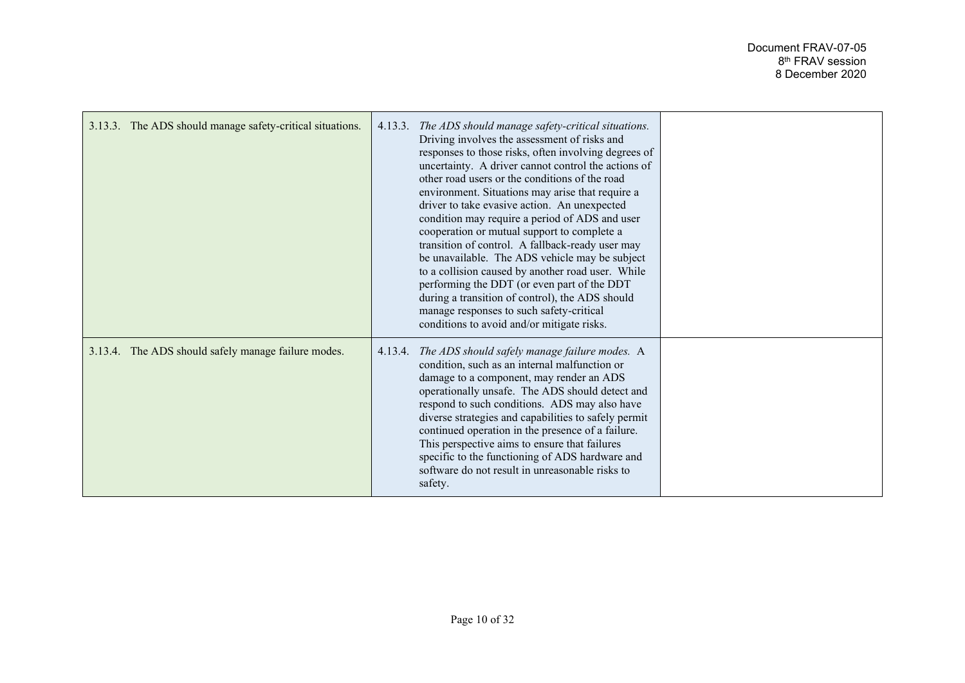| 3.13.3. The ADS should manage safety-critical situations. | 4.13.3. The ADS should manage safety-critical situations.<br>Driving involves the assessment of risks and<br>responses to those risks, often involving degrees of<br>uncertainty. A driver cannot control the actions of<br>other road users or the conditions of the road<br>environment. Situations may arise that require a<br>driver to take evasive action. An unexpected<br>condition may require a period of ADS and user<br>cooperation or mutual support to complete a<br>transition of control. A fallback-ready user may<br>be unavailable. The ADS vehicle may be subject<br>to a collision caused by another road user. While<br>performing the DDT (or even part of the DDT<br>during a transition of control), the ADS should<br>manage responses to such safety-critical<br>conditions to avoid and/or mitigate risks. |  |
|-----------------------------------------------------------|----------------------------------------------------------------------------------------------------------------------------------------------------------------------------------------------------------------------------------------------------------------------------------------------------------------------------------------------------------------------------------------------------------------------------------------------------------------------------------------------------------------------------------------------------------------------------------------------------------------------------------------------------------------------------------------------------------------------------------------------------------------------------------------------------------------------------------------|--|
| 3.13.4. The ADS should safely manage failure modes.       | 4.13.4. The ADS should safely manage failure modes. A<br>condition, such as an internal malfunction or<br>damage to a component, may render an ADS<br>operationally unsafe. The ADS should detect and<br>respond to such conditions. ADS may also have<br>diverse strategies and capabilities to safely permit<br>continued operation in the presence of a failure.<br>This perspective aims to ensure that failures<br>specific to the functioning of ADS hardware and<br>software do not result in unreasonable risks to<br>safety.                                                                                                                                                                                                                                                                                                  |  |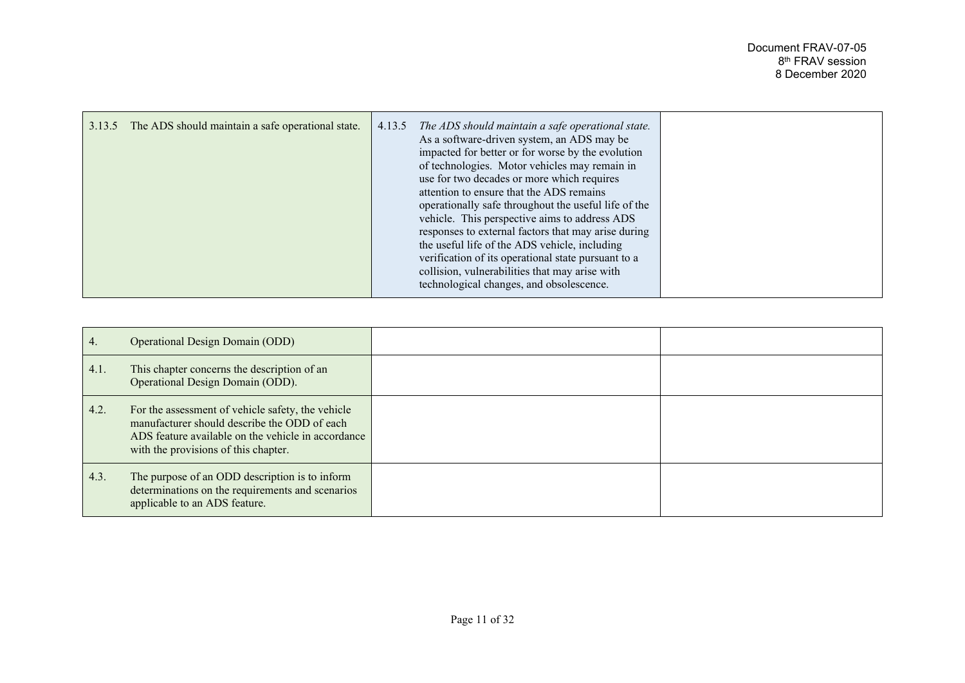| 3.13.5<br>The ADS should maintain a safe operational state. | 4.13.5 The ADS should maintain a safe operational state.<br>As a software-driven system, an ADS may be<br>impacted for better or for worse by the evolution<br>of technologies. Motor vehicles may remain in<br>use for two decades or more which requires<br>attention to ensure that the ADS remains<br>operationally safe throughout the useful life of the<br>vehicle. This perspective aims to address ADS<br>responses to external factors that may arise during<br>the useful life of the ADS vehicle, including<br>verification of its operational state pursuant to a<br>collision, vulnerabilities that may arise with<br>technological changes, and obsolescence. |  |
|-------------------------------------------------------------|------------------------------------------------------------------------------------------------------------------------------------------------------------------------------------------------------------------------------------------------------------------------------------------------------------------------------------------------------------------------------------------------------------------------------------------------------------------------------------------------------------------------------------------------------------------------------------------------------------------------------------------------------------------------------|--|
|-------------------------------------------------------------|------------------------------------------------------------------------------------------------------------------------------------------------------------------------------------------------------------------------------------------------------------------------------------------------------------------------------------------------------------------------------------------------------------------------------------------------------------------------------------------------------------------------------------------------------------------------------------------------------------------------------------------------------------------------------|--|

| 4.   | <b>Operational Design Domain (ODD)</b>                                                                                                                                                          |  |
|------|-------------------------------------------------------------------------------------------------------------------------------------------------------------------------------------------------|--|
| 4.1. | This chapter concerns the description of an<br>Operational Design Domain (ODD).                                                                                                                 |  |
| 4.2. | For the assessment of vehicle safety, the vehicle<br>manufacturer should describe the ODD of each<br>ADS feature available on the vehicle in accordance<br>with the provisions of this chapter. |  |
| 4.3. | The purpose of an ODD description is to inform<br>determinations on the requirements and scenarios<br>applicable to an ADS feature.                                                             |  |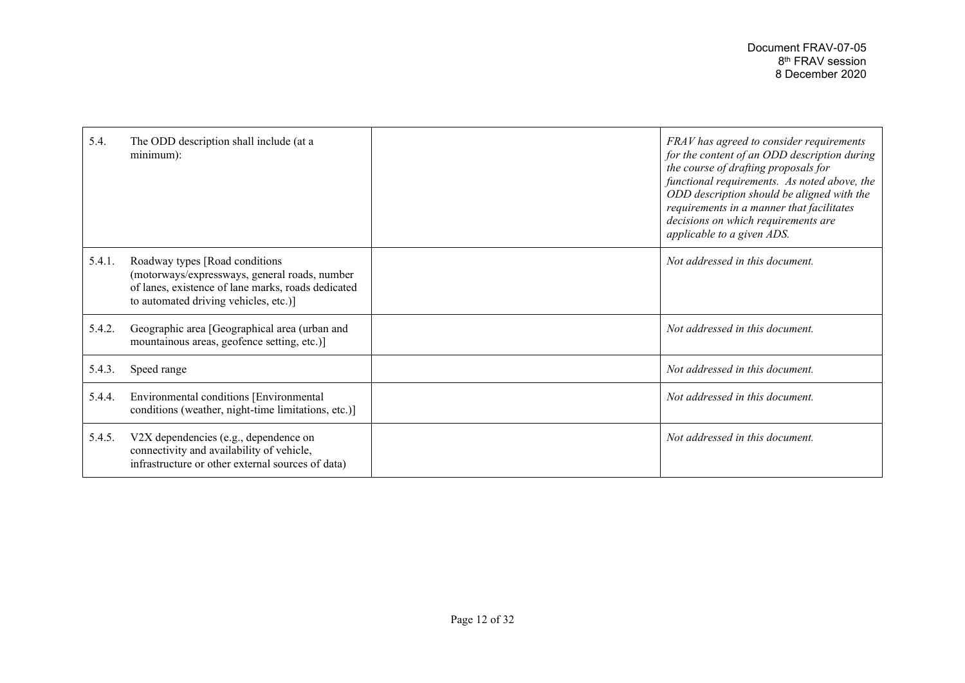| 5.4.   | The ODD description shall include (at a<br>$minimum)$ :                                                                                                                         | FRAV has agreed to consider requirements<br>for the content of an ODD description during<br>the course of drafting proposals for<br>functional requirements. As noted above, the<br>ODD description should be aligned with the<br>requirements in a manner that facilitates<br>decisions on which requirements are<br>applicable to a given ADS. |
|--------|---------------------------------------------------------------------------------------------------------------------------------------------------------------------------------|--------------------------------------------------------------------------------------------------------------------------------------------------------------------------------------------------------------------------------------------------------------------------------------------------------------------------------------------------|
| 5.4.1. | Roadway types [Road conditions]<br>(motorways/expressways, general roads, number<br>of lanes, existence of lane marks, roads dedicated<br>to automated driving vehicles, etc.)] | Not addressed in this document.                                                                                                                                                                                                                                                                                                                  |
| 5.4.2. | Geographic area [Geographical area (urban and<br>mountainous areas, geofence setting, etc.)]                                                                                    | Not addressed in this document.                                                                                                                                                                                                                                                                                                                  |
| 5.4.3. | Speed range                                                                                                                                                                     | Not addressed in this document.                                                                                                                                                                                                                                                                                                                  |
| 5.4.4. | Environmental conditions [Environmental<br>conditions (weather, night-time limitations, etc.)]                                                                                  | Not addressed in this document.                                                                                                                                                                                                                                                                                                                  |
| 5.4.5. | V2X dependencies (e.g., dependence on<br>connectivity and availability of vehicle,<br>infrastructure or other external sources of data)                                         | Not addressed in this document.                                                                                                                                                                                                                                                                                                                  |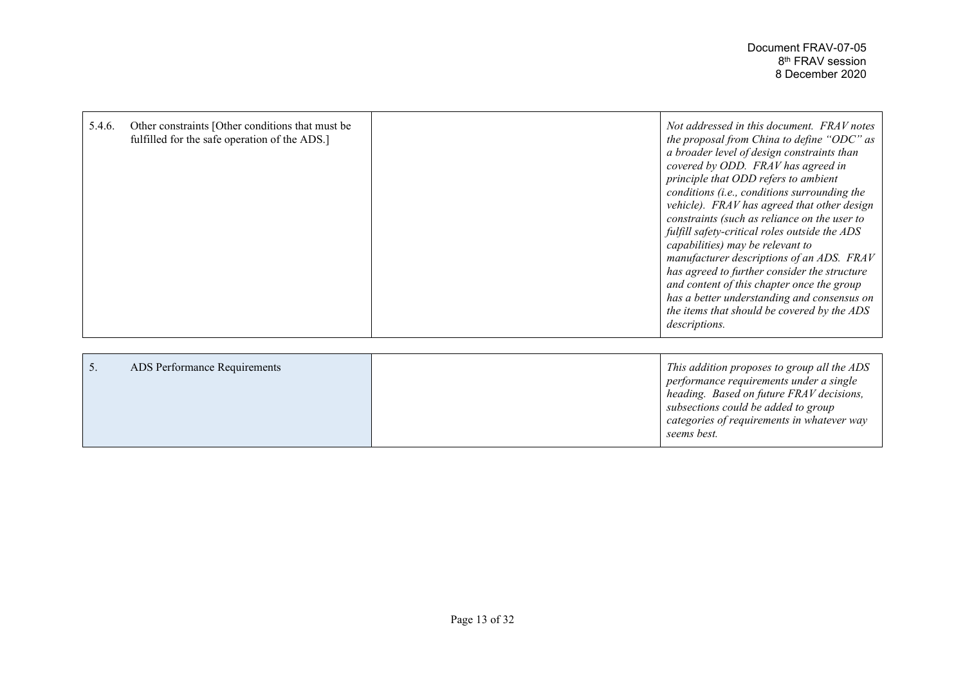*categories of requirements in whatever way* 

*seems best.*

| 5.4.6. | Other constraints [Other conditions that must be<br>fulfilled for the safe operation of the ADS.] | Not addressed in this document. FRAV notes<br>the proposal from China to define "ODC" as<br>a broader level of design constraints than<br>covered by ODD. FRAV has agreed in<br>principle that ODD refers to ambient<br>conditions (i.e., conditions surrounding the<br>vehicle). FRAV has agreed that other design<br>constraints (such as reliance on the user to<br>fulfill safety-critical roles outside the ADS<br>capabilities) may be relevant to<br>manufacturer descriptions of an ADS. FRAV<br>has agreed to further consider the structure<br>and content of this chapter once the group<br>has a better understanding and consensus on<br>the items that should be covered by the ADS<br><i>descriptions.</i> |
|--------|---------------------------------------------------------------------------------------------------|---------------------------------------------------------------------------------------------------------------------------------------------------------------------------------------------------------------------------------------------------------------------------------------------------------------------------------------------------------------------------------------------------------------------------------------------------------------------------------------------------------------------------------------------------------------------------------------------------------------------------------------------------------------------------------------------------------------------------|
| 5.     | ADS Performance Requirements                                                                      | This addition proposes to group all the ADS<br>performance requirements under a single<br>heading. Based on future FRAV decisions,<br>subsections could be added to group                                                                                                                                                                                                                                                                                                                                                                                                                                                                                                                                                 |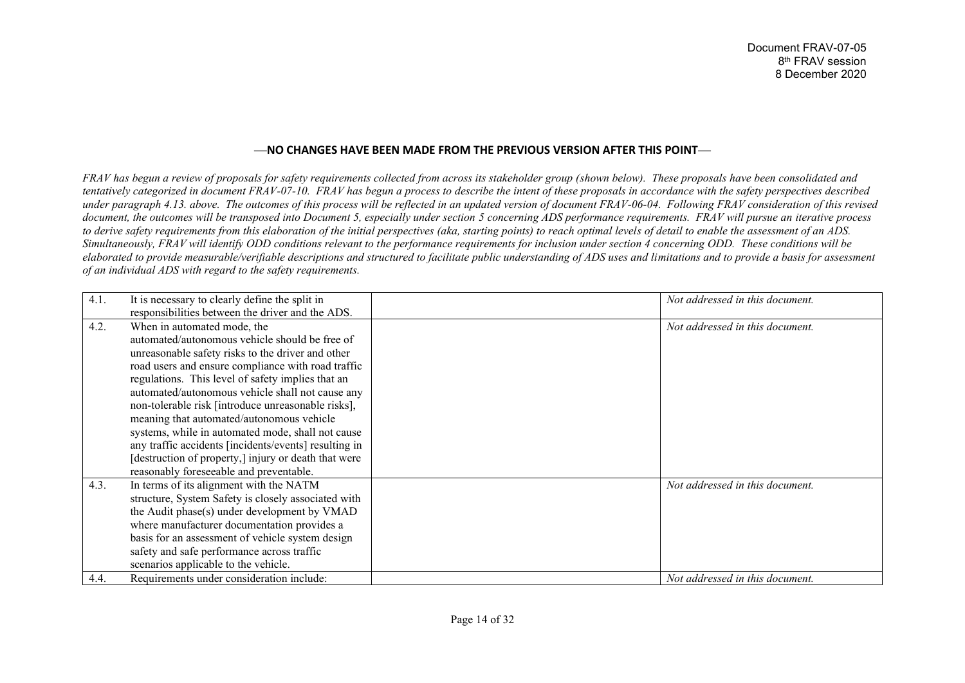## **⸺NO CHANGES HAVE BEEN MADE FROM THE PREVIOUS VERSION AFTER THIS POINT⸺**

*FRAV has begun a review of proposals for safety requirements collected from across its stakeholder group (shown below). These proposals have been consolidated and tentatively categorized in document FRAV-07-10.* FRAV has begun a process to describe the intent of these proposals in accordance with the safety perspectives described *under paragraph 4.13. above. The outcomes of this process will be reflected in an updated version of document FRAV-06-04. Following FRAV consideration of this revised document, the outcomes will be transposed into Document 5, especially under section 5 concerning ADS performance requirements. FRAV will pursue an iterative process to derive safety requirements from this elaboration of the initial perspectives (aka, starting points) to reach optimal levels of detail to enable the assessment of an ADS. Simultaneously, FRAV will identify ODD conditions relevant to the performance requirements for inclusion under section 4 concerning ODD. These conditions will be elaborated to provide measurable/verifiable descriptions and structured to facilitate public understanding of ADS uses and limitations and to provide a basis for assessment of an individual ADS with regard to the safety requirements.*

| 4.1. | It is necessary to clearly define the split in<br>responsibilities between the driver and the ADS.                                                                                                                                                                                                                                                                                                                                                                                                                                                                                                                    | Not addressed in this document. |
|------|-----------------------------------------------------------------------------------------------------------------------------------------------------------------------------------------------------------------------------------------------------------------------------------------------------------------------------------------------------------------------------------------------------------------------------------------------------------------------------------------------------------------------------------------------------------------------------------------------------------------------|---------------------------------|
| 4.2. | When in automated mode, the<br>automated/autonomous vehicle should be free of<br>unreasonable safety risks to the driver and other<br>road users and ensure compliance with road traffic<br>regulations. This level of safety implies that an<br>automated/autonomous vehicle shall not cause any<br>non-tolerable risk [introduce unreasonable risks],<br>meaning that automated/autonomous vehicle<br>systems, while in automated mode, shall not cause<br>any traffic accidents [incidents/events] resulting in<br>[destruction of property,] injury or death that were<br>reasonably foreseeable and preventable. | Not addressed in this document. |
| 4.3. | In terms of its alignment with the NATM<br>structure, System Safety is closely associated with<br>the Audit phase(s) under development by VMAD<br>where manufacturer documentation provides a<br>basis for an assessment of vehicle system design<br>safety and safe performance across traffic<br>scenarios applicable to the vehicle.                                                                                                                                                                                                                                                                               | Not addressed in this document. |
| 4.4. | Requirements under consideration include:                                                                                                                                                                                                                                                                                                                                                                                                                                                                                                                                                                             | Not addressed in this document. |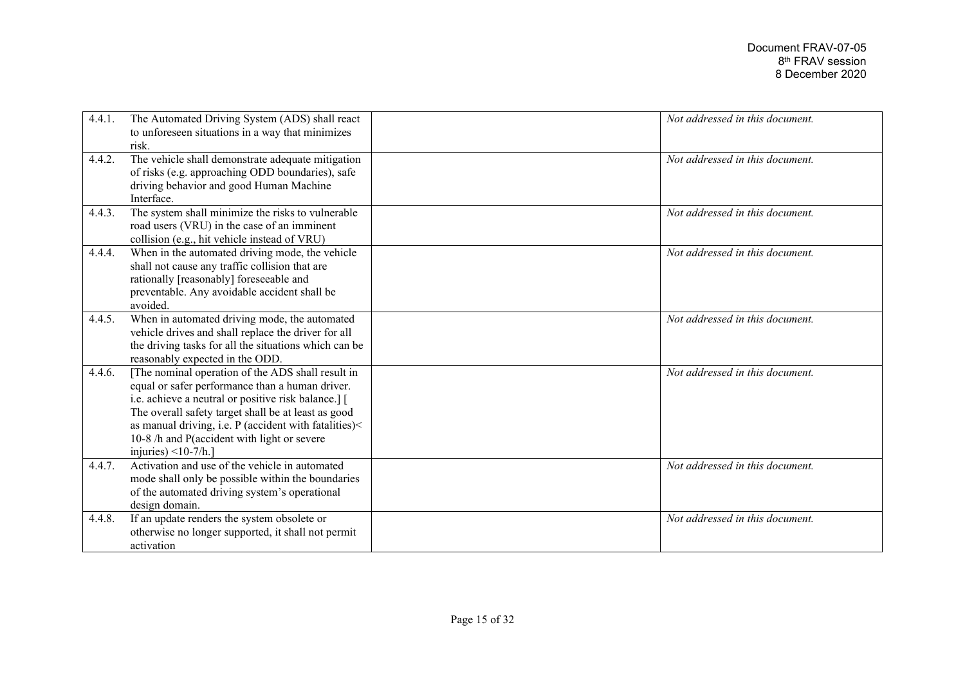| 4.4.1. | The Automated Driving System (ADS) shall react<br>to unforeseen situations in a way that minimizes<br>risk.                                                                                                                                                                                                                                         | Not addressed in this document. |
|--------|-----------------------------------------------------------------------------------------------------------------------------------------------------------------------------------------------------------------------------------------------------------------------------------------------------------------------------------------------------|---------------------------------|
| 4.4.2. | The vehicle shall demonstrate adequate mitigation<br>of risks (e.g. approaching ODD boundaries), safe<br>driving behavior and good Human Machine<br>Interface.                                                                                                                                                                                      | Not addressed in this document. |
| 4.4.3. | The system shall minimize the risks to vulnerable<br>road users (VRU) in the case of an imminent<br>collision (e.g., hit vehicle instead of VRU)                                                                                                                                                                                                    | Not addressed in this document. |
| 4.4.4. | When in the automated driving mode, the vehicle<br>shall not cause any traffic collision that are<br>rationally [reasonably] foreseeable and<br>preventable. Any avoidable accident shall be<br>avoided.                                                                                                                                            | Not addressed in this document. |
| 4.4.5. | When in automated driving mode, the automated<br>vehicle drives and shall replace the driver for all<br>the driving tasks for all the situations which can be<br>reasonably expected in the ODD.                                                                                                                                                    | Not addressed in this document. |
| 4.4.6. | [The nominal operation of the ADS shall result in<br>equal or safer performance than a human driver.<br>i.e. achieve a neutral or positive risk balance.] [<br>The overall safety target shall be at least as good<br>as manual driving, i.e. P (accident with fatalities)<<br>10-8 /h and P(accident with light or severe<br>injuries) $<$ 10-7/h. | Not addressed in this document. |
| 4.4.7. | Activation and use of the vehicle in automated<br>mode shall only be possible within the boundaries<br>of the automated driving system's operational<br>design domain.                                                                                                                                                                              | Not addressed in this document. |
| 4.4.8. | If an update renders the system obsolete or<br>otherwise no longer supported, it shall not permit<br>activation                                                                                                                                                                                                                                     | Not addressed in this document. |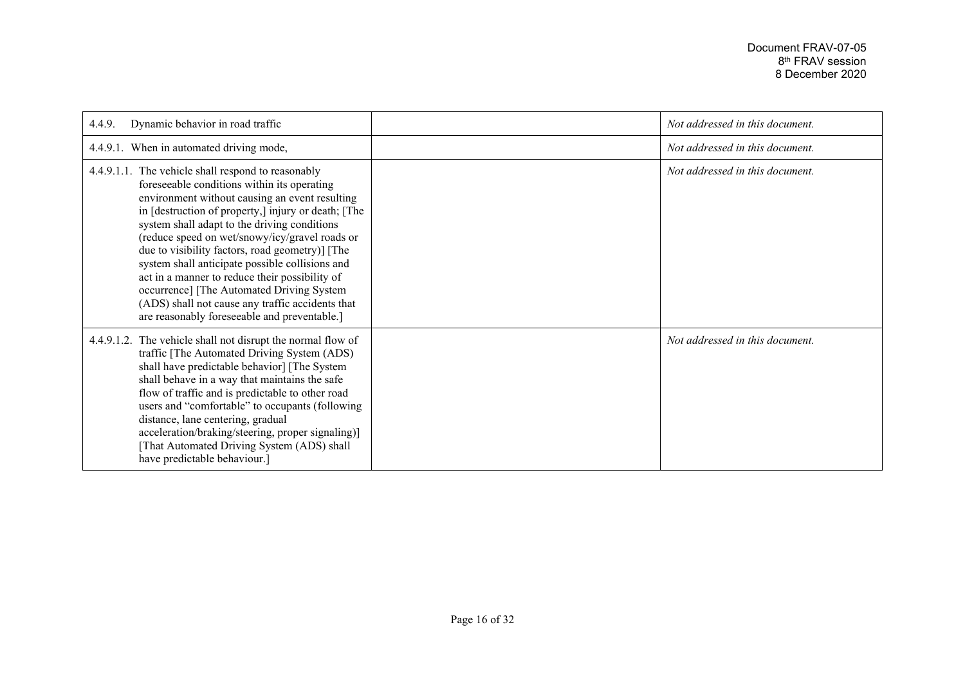| Dynamic behavior in road traffic<br>4.4.9.                                                                                                                                                                                                                                                                                                                                                                                                                                                                                                                                                                            | Not addressed in this document. |
|-----------------------------------------------------------------------------------------------------------------------------------------------------------------------------------------------------------------------------------------------------------------------------------------------------------------------------------------------------------------------------------------------------------------------------------------------------------------------------------------------------------------------------------------------------------------------------------------------------------------------|---------------------------------|
| 4.4.9.1. When in automated driving mode,                                                                                                                                                                                                                                                                                                                                                                                                                                                                                                                                                                              | Not addressed in this document. |
| 4.4.9.1.1. The vehicle shall respond to reasonably<br>foreseeable conditions within its operating<br>environment without causing an event resulting<br>in [destruction of property,] injury or death; [The<br>system shall adapt to the driving conditions<br>(reduce speed on wet/snowy/icy/gravel roads or<br>due to visibility factors, road geometry)] [The<br>system shall anticipate possible collisions and<br>act in a manner to reduce their possibility of<br>occurrence] [The Automated Driving System<br>(ADS) shall not cause any traffic accidents that<br>are reasonably foreseeable and preventable.] | Not addressed in this document. |
| 4.4.9.1.2. The vehicle shall not disrupt the normal flow of<br>traffic [The Automated Driving System (ADS)<br>shall have predictable behavior] [The System<br>shall behave in a way that maintains the safe<br>flow of traffic and is predictable to other road<br>users and "comfortable" to occupants (following<br>distance, lane centering, gradual<br>acceleration/braking/steering, proper signaling)]<br>That Automated Driving System (ADS) shall<br>have predictable behaviour.]                                                                                                                             | Not addressed in this document. |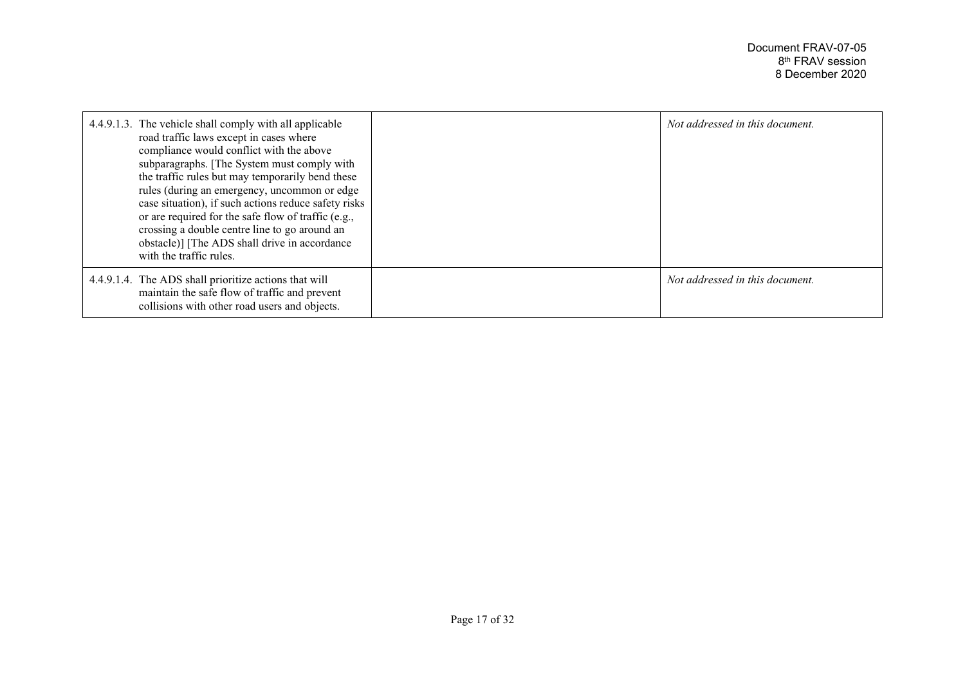| 4.4.9.1.3. The vehicle shall comply with all applicable<br>road traffic laws except in cases where<br>compliance would conflict with the above<br>subparagraphs. [The System must comply with<br>the traffic rules but may temporarily bend these<br>rules (during an emergency, uncommon or edge<br>case situation), if such actions reduce safety risks<br>or are required for the safe flow of traffic (e.g.,<br>crossing a double centre line to go around an<br>obstacle)] [The ADS shall drive in accordance<br>with the traffic rules. | Not addressed in this document. |
|-----------------------------------------------------------------------------------------------------------------------------------------------------------------------------------------------------------------------------------------------------------------------------------------------------------------------------------------------------------------------------------------------------------------------------------------------------------------------------------------------------------------------------------------------|---------------------------------|
| 4.4.9.1.4. The ADS shall prioritize actions that will<br>maintain the safe flow of traffic and prevent<br>collisions with other road users and objects.                                                                                                                                                                                                                                                                                                                                                                                       | Not addressed in this document. |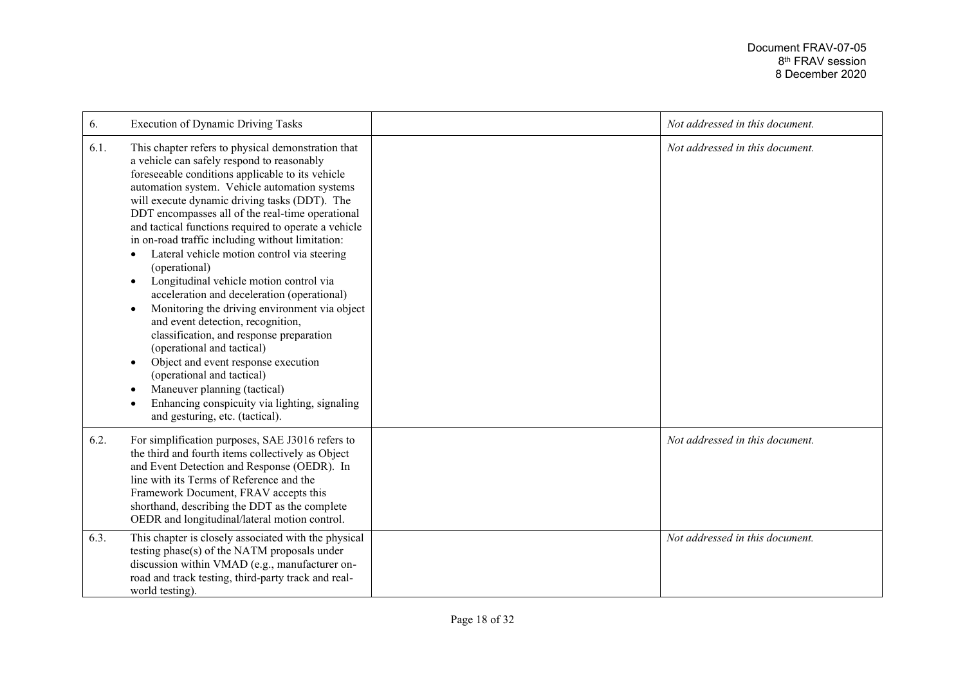| 6.   | <b>Execution of Dynamic Driving Tasks</b>                                                                                                                                                                                                                                                                                                                                                                                                                                                                                                                                                                                                                                                                                                                                                                                                                                                                                                                                | Not addressed in this document. |
|------|--------------------------------------------------------------------------------------------------------------------------------------------------------------------------------------------------------------------------------------------------------------------------------------------------------------------------------------------------------------------------------------------------------------------------------------------------------------------------------------------------------------------------------------------------------------------------------------------------------------------------------------------------------------------------------------------------------------------------------------------------------------------------------------------------------------------------------------------------------------------------------------------------------------------------------------------------------------------------|---------------------------------|
| 6.1. | This chapter refers to physical demonstration that<br>a vehicle can safely respond to reasonably<br>foreseeable conditions applicable to its vehicle<br>automation system. Vehicle automation systems<br>will execute dynamic driving tasks (DDT). The<br>DDT encompasses all of the real-time operational<br>and tactical functions required to operate a vehicle<br>in on-road traffic including without limitation:<br>Lateral vehicle motion control via steering<br>(operational)<br>Longitudinal vehicle motion control via<br>٠<br>acceleration and deceleration (operational)<br>Monitoring the driving environment via object<br>$\bullet$<br>and event detection, recognition,<br>classification, and response preparation<br>(operational and tactical)<br>Object and event response execution<br>$\bullet$<br>(operational and tactical)<br>Maneuver planning (tactical)<br>Enhancing conspicuity via lighting, signaling<br>and gesturing, etc. (tactical). | Not addressed in this document. |
| 6.2. | For simplification purposes, SAE J3016 refers to<br>the third and fourth items collectively as Object<br>and Event Detection and Response (OEDR). In<br>line with its Terms of Reference and the<br>Framework Document, FRAV accepts this<br>shorthand, describing the DDT as the complete<br>OEDR and longitudinal/lateral motion control.                                                                                                                                                                                                                                                                                                                                                                                                                                                                                                                                                                                                                              | Not addressed in this document. |
| 6.3. | This chapter is closely associated with the physical<br>testing phase(s) of the NATM proposals under<br>discussion within VMAD (e.g., manufacturer on-<br>road and track testing, third-party track and real-<br>world testing).                                                                                                                                                                                                                                                                                                                                                                                                                                                                                                                                                                                                                                                                                                                                         | Not addressed in this document. |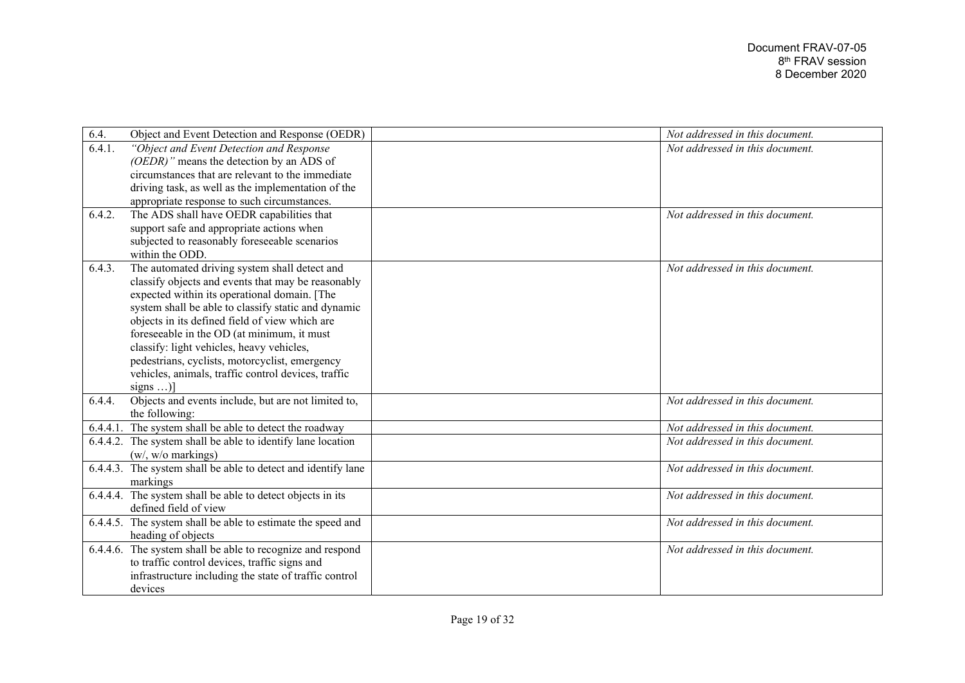| 6.4.   | Object and Event Detection and Response (OEDR)                | Not addressed in this document. |
|--------|---------------------------------------------------------------|---------------------------------|
| 6.4.1. | "Object and Event Detection and Response                      | Not addressed in this document. |
|        | (OEDR)" means the detection by an ADS of                      |                                 |
|        | circumstances that are relevant to the immediate              |                                 |
|        | driving task, as well as the implementation of the            |                                 |
|        | appropriate response to such circumstances.                   |                                 |
| 6.4.2. | The ADS shall have OEDR capabilities that                     | Not addressed in this document. |
|        | support safe and appropriate actions when                     |                                 |
|        | subjected to reasonably foreseeable scenarios                 |                                 |
|        | within the ODD.                                               |                                 |
| 6.4.3. | The automated driving system shall detect and                 | Not addressed in this document. |
|        | classify objects and events that may be reasonably            |                                 |
|        | expected within its operational domain. [The                  |                                 |
|        | system shall be able to classify static and dynamic           |                                 |
|        | objects in its defined field of view which are                |                                 |
|        | foreseeable in the OD (at minimum, it must                    |                                 |
|        | classify: light vehicles, heavy vehicles,                     |                                 |
|        | pedestrians, cyclists, motorcyclist, emergency                |                                 |
|        | vehicles, animals, traffic control devices, traffic           |                                 |
|        | signs )]                                                      |                                 |
| 6.4.4. | Objects and events include, but are not limited to,           | Not addressed in this document. |
|        | the following:                                                |                                 |
|        | 6.4.4.1. The system shall be able to detect the roadway       | Not addressed in this document. |
|        | 6.4.4.2. The system shall be able to identify lane location   | Not addressed in this document. |
|        | (w/, w/o markings)                                            |                                 |
|        | 6.4.4.3. The system shall be able to detect and identify lane | Not addressed in this document. |
|        | markings                                                      |                                 |
|        | 6.4.4.4. The system shall be able to detect objects in its    | Not addressed in this document. |
|        | defined field of view                                         |                                 |
|        | 6.4.4.5. The system shall be able to estimate the speed and   | Not addressed in this document. |
|        | heading of objects                                            |                                 |
|        | 6.4.4.6. The system shall be able to recognize and respond    | Not addressed in this document. |
|        | to traffic control devices, traffic signs and                 |                                 |
|        | infrastructure including the state of traffic control         |                                 |
|        | devices                                                       |                                 |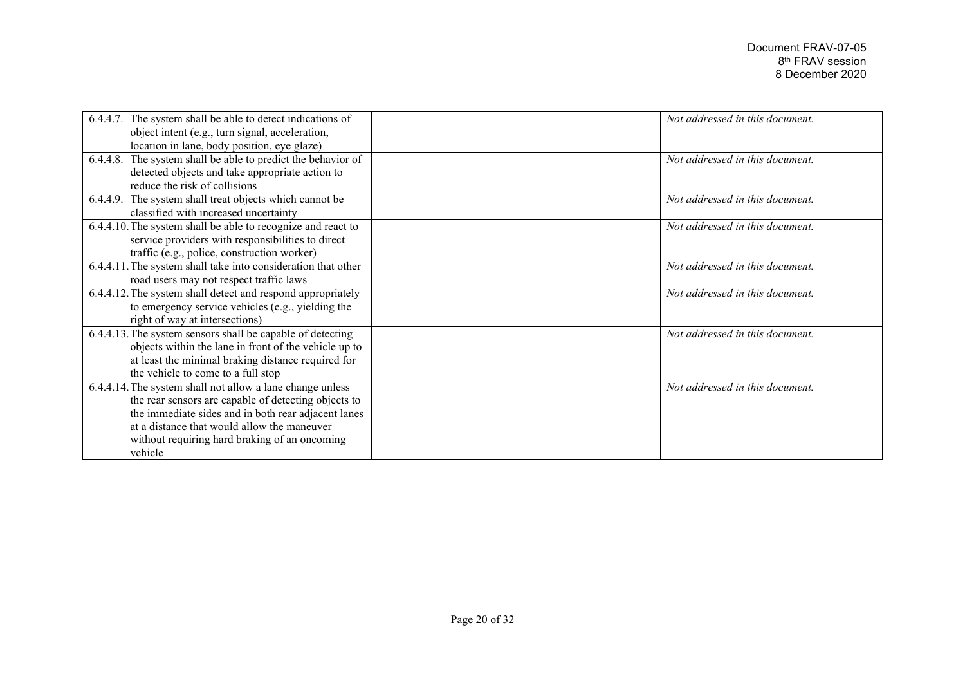| 6.4.4.7. The system shall be able to detect indications of      | Not addressed in this document. |
|-----------------------------------------------------------------|---------------------------------|
| object intent (e.g., turn signal, acceleration,                 |                                 |
| location in lane, body position, eye glaze)                     |                                 |
| The system shall be able to predict the behavior of<br>6.4.4.8. | Not addressed in this document. |
| detected objects and take appropriate action to                 |                                 |
| reduce the risk of collisions                                   |                                 |
| 6.4.4.9. The system shall treat objects which cannot be         | Not addressed in this document. |
| classified with increased uncertainty                           |                                 |
| 6.4.4.10. The system shall be able to recognize and react to    | Not addressed in this document. |
| service providers with responsibilities to direct               |                                 |
| traffic (e.g., police, construction worker)                     |                                 |
| 6.4.4.11. The system shall take into consideration that other   | Not addressed in this document. |
| road users may not respect traffic laws                         |                                 |
| 6.4.4.12. The system shall detect and respond appropriately     | Not addressed in this document. |
| to emergency service vehicles (e.g., yielding the               |                                 |
| right of way at intersections)                                  |                                 |
| 6.4.4.13. The system sensors shall be capable of detecting      | Not addressed in this document. |
| objects within the lane in front of the vehicle up to           |                                 |
| at least the minimal braking distance required for              |                                 |
| the vehicle to come to a full stop                              |                                 |
| 6.4.4.14. The system shall not allow a lane change unless       | Not addressed in this document. |
| the rear sensors are capable of detecting objects to            |                                 |
| the immediate sides and in both rear adjacent lanes             |                                 |
| at a distance that would allow the maneuver                     |                                 |
| without requiring hard braking of an oncoming                   |                                 |
| vehicle                                                         |                                 |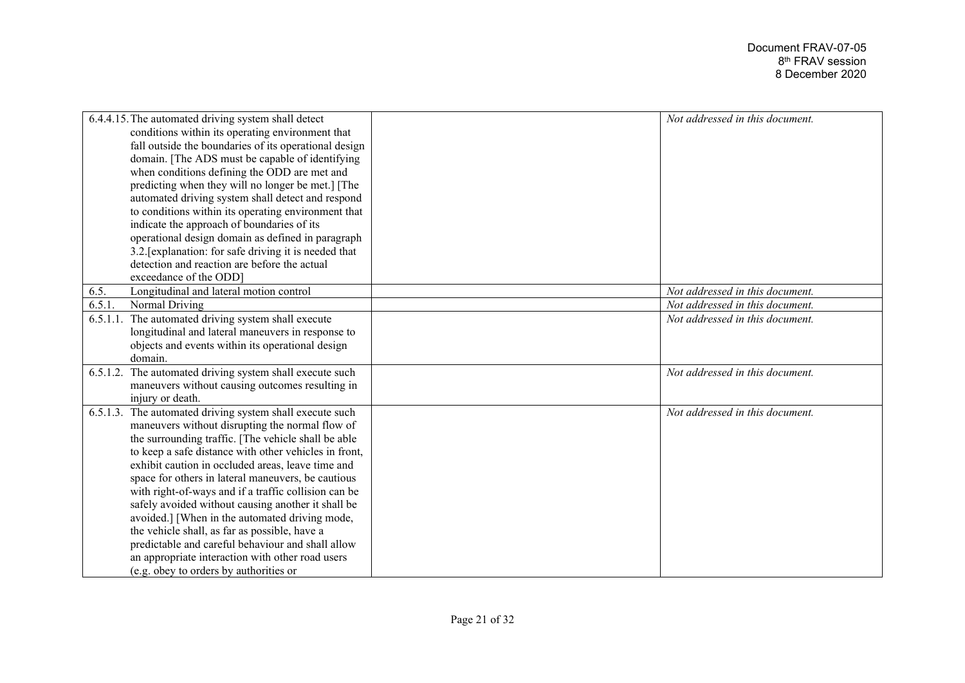| 6.4.4.15. The automated driving system shall detect         | Not addressed in this document. |
|-------------------------------------------------------------|---------------------------------|
| conditions within its operating environment that            |                                 |
| fall outside the boundaries of its operational design       |                                 |
| domain. [The ADS must be capable of identifying             |                                 |
|                                                             |                                 |
| when conditions defining the ODD are met and                |                                 |
| predicting when they will no longer be met.] [The           |                                 |
| automated driving system shall detect and respond           |                                 |
| to conditions within its operating environment that         |                                 |
| indicate the approach of boundaries of its                  |                                 |
| operational design domain as defined in paragraph           |                                 |
| 3.2. [explanation: for safe driving it is needed that       |                                 |
| detection and reaction are before the actual                |                                 |
| exceedance of the ODD]                                      |                                 |
| Longitudinal and lateral motion control<br>6.5.             | Not addressed in this document. |
| Normal Driving<br>6.5.1                                     | Not addressed in this document. |
| 6.5.1.1. The automated driving system shall execute         | Not addressed in this document. |
| longitudinal and lateral maneuvers in response to           |                                 |
| objects and events within its operational design            |                                 |
| domain.                                                     |                                 |
| 6.5.1.2. The automated driving system shall execute such    | Not addressed in this document. |
| maneuvers without causing outcomes resulting in             |                                 |
| injury or death.                                            |                                 |
| The automated driving system shall execute such<br>6.5.1.3. | Not addressed in this document. |
| maneuvers without disrupting the normal flow of             |                                 |
| the surrounding traffic. [The vehicle shall be able         |                                 |
| to keep a safe distance with other vehicles in front,       |                                 |
| exhibit caution in occluded areas, leave time and           |                                 |
| space for others in lateral maneuvers, be cautious          |                                 |
| with right-of-ways and if a traffic collision can be        |                                 |
| safely avoided without causing another it shall be          |                                 |
| avoided.] [When in the automated driving mode,              |                                 |
| the vehicle shall, as far as possible, have a               |                                 |
| predictable and careful behaviour and shall allow           |                                 |
| an appropriate interaction with other road users            |                                 |
| (e.g. obey to orders by authorities or                      |                                 |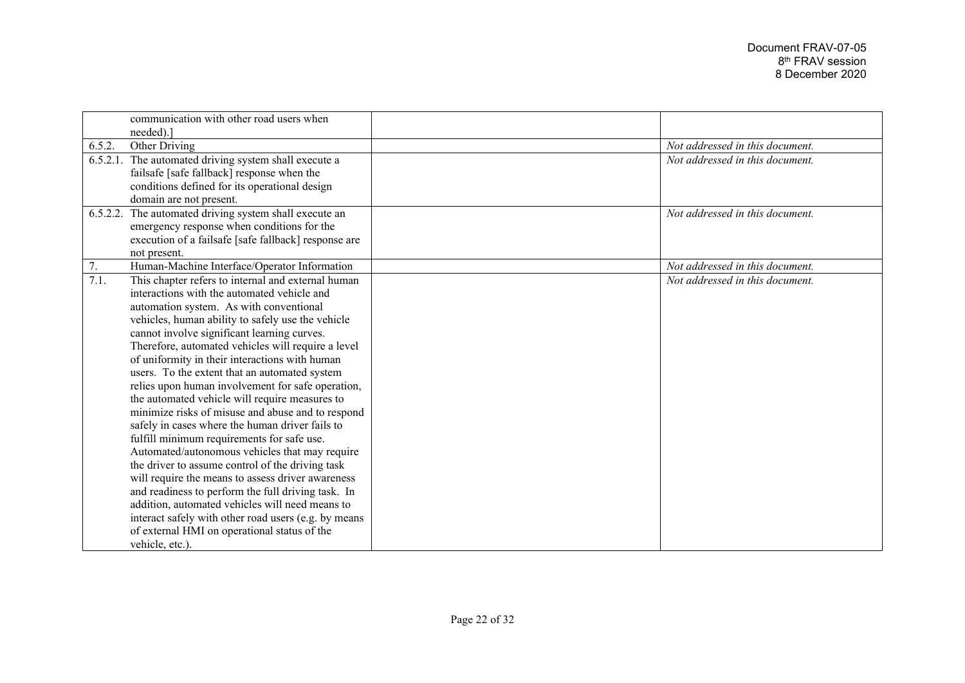|        | communication with other road users when<br>needed).   |                                 |
|--------|--------------------------------------------------------|---------------------------------|
| 6.5.2. | Other Driving                                          | Not addressed in this document. |
|        | 6.5.2.1. The automated driving system shall execute a  | Not addressed in this document. |
|        | failsafe [safe fallback] response when the             |                                 |
|        | conditions defined for its operational design          |                                 |
|        | domain are not present.                                |                                 |
|        | 6.5.2.2. The automated driving system shall execute an | Not addressed in this document. |
|        | emergency response when conditions for the             |                                 |
|        | execution of a failsafe [safe fallback] response are   |                                 |
|        | not present.                                           |                                 |
| 7.     | Human-Machine Interface/Operator Information           | Not addressed in this document. |
| 7.1.   | This chapter refers to internal and external human     | Not addressed in this document. |
|        | interactions with the automated vehicle and            |                                 |
|        | automation system. As with conventional                |                                 |
|        | vehicles, human ability to safely use the vehicle      |                                 |
|        | cannot involve significant learning curves.            |                                 |
|        | Therefore, automated vehicles will require a level     |                                 |
|        | of uniformity in their interactions with human         |                                 |
|        | users. To the extent that an automated system          |                                 |
|        | relies upon human involvement for safe operation,      |                                 |
|        | the automated vehicle will require measures to         |                                 |
|        | minimize risks of misuse and abuse and to respond      |                                 |
|        | safely in cases where the human driver fails to        |                                 |
|        | fulfill minimum requirements for safe use.             |                                 |
|        | Automated/autonomous vehicles that may require         |                                 |
|        | the driver to assume control of the driving task       |                                 |
|        | will require the means to assess driver awareness      |                                 |
|        | and readiness to perform the full driving task. In     |                                 |
|        | addition, automated vehicles will need means to        |                                 |
|        | interact safely with other road users (e.g. by means   |                                 |
|        | of external HMI on operational status of the           |                                 |
|        | vehicle, etc.).                                        |                                 |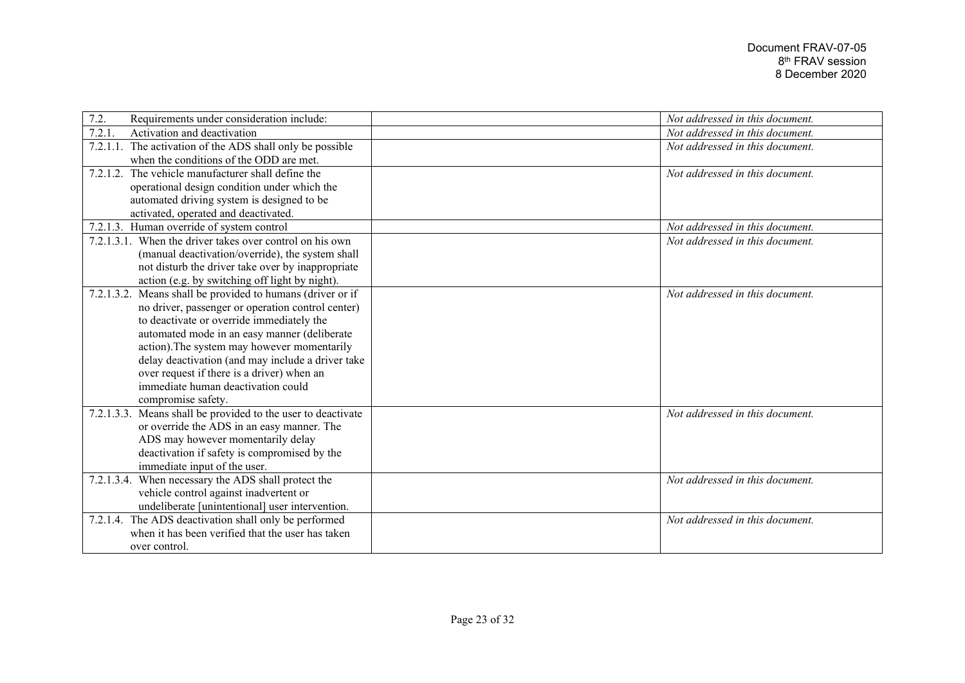| 7.2.<br>Requirements under consideration include:            | Not addressed in this document. |
|--------------------------------------------------------------|---------------------------------|
| 7.2.1<br>Activation and deactivation                         | Not addressed in this document. |
| 7.2.1.1. The activation of the ADS shall only be possible    | Not addressed in this document. |
| when the conditions of the ODD are met.                      |                                 |
| The vehicle manufacturer shall define the<br>7.2.1.2.        | Not addressed in this document. |
| operational design condition under which the                 |                                 |
| automated driving system is designed to be                   |                                 |
| activated, operated and deactivated.                         |                                 |
| 7.2.1.3. Human override of system control                    | Not addressed in this document. |
| 7.2.1.3.1. When the driver takes over control on his own     | Not addressed in this document. |
| (manual deactivation/override), the system shall             |                                 |
| not disturb the driver take over by inappropriate            |                                 |
| action (e.g. by switching off light by night).               |                                 |
| 7.2.1.3.2. Means shall be provided to humans (driver or if   | Not addressed in this document. |
| no driver, passenger or operation control center)            |                                 |
| to deactivate or override immediately the                    |                                 |
| automated mode in an easy manner (deliberate                 |                                 |
| action). The system may however momentarily                  |                                 |
| delay deactivation (and may include a driver take            |                                 |
| over request if there is a driver) when an                   |                                 |
| immediate human deactivation could                           |                                 |
| compromise safety.                                           |                                 |
| 7.2.1.3.3. Means shall be provided to the user to deactivate | Not addressed in this document. |
| or override the ADS in an easy manner. The                   |                                 |
| ADS may however momentarily delay                            |                                 |
| deactivation if safety is compromised by the                 |                                 |
| immediate input of the user.                                 |                                 |
| 7.2.1.3.4. When necessary the ADS shall protect the          | Not addressed in this document. |
| vehicle control against inadvertent or                       |                                 |
| undeliberate [unintentional] user intervention.              |                                 |
| 7.2.1.4. The ADS deactivation shall only be performed        | Not addressed in this document. |
| when it has been verified that the user has taken            |                                 |
| over control.                                                |                                 |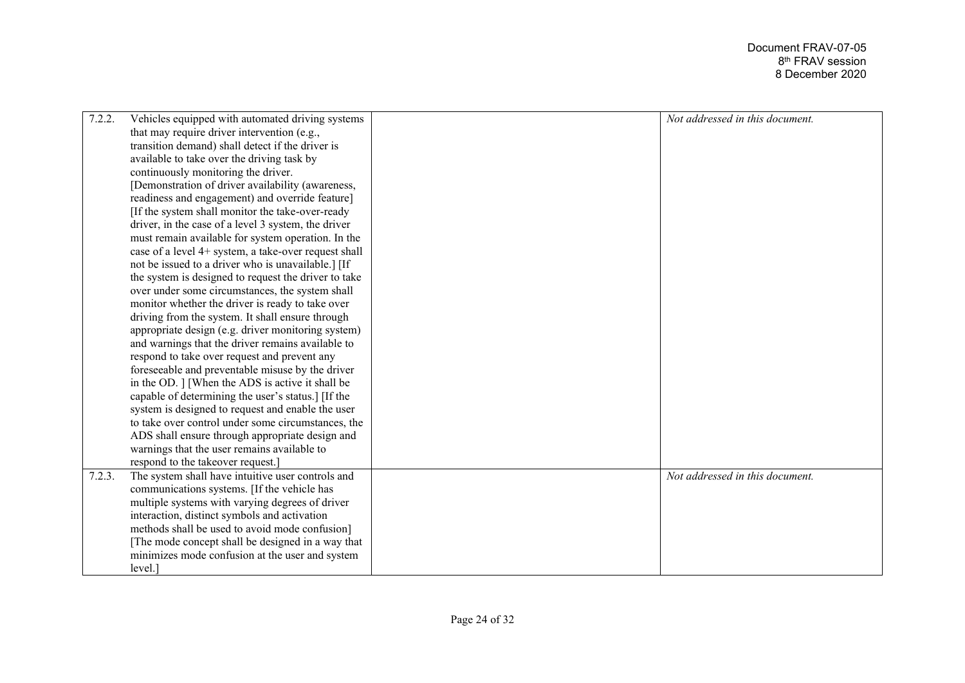| 7.2.2. | Vehicles equipped with automated driving systems     | Not addressed in this document. |
|--------|------------------------------------------------------|---------------------------------|
|        | that may require driver intervention (e.g.,          |                                 |
|        | transition demand) shall detect if the driver is     |                                 |
|        | available to take over the driving task by           |                                 |
|        | continuously monitoring the driver.                  |                                 |
|        | [Demonstration of driver availability (awareness,    |                                 |
|        | readiness and engagement) and override feature]      |                                 |
|        | [If the system shall monitor the take-over-ready     |                                 |
|        | driver, in the case of a level 3 system, the driver  |                                 |
|        | must remain available for system operation. In the   |                                 |
|        | case of a level 4+ system, a take-over request shall |                                 |
|        | not be issued to a driver who is unavailable.] [If   |                                 |
|        | the system is designed to request the driver to take |                                 |
|        | over under some circumstances, the system shall      |                                 |
|        | monitor whether the driver is ready to take over     |                                 |
|        | driving from the system. It shall ensure through     |                                 |
|        | appropriate design (e.g. driver monitoring system)   |                                 |
|        | and warnings that the driver remains available to    |                                 |
|        | respond to take over request and prevent any         |                                 |
|        | foreseeable and preventable misuse by the driver     |                                 |
|        | in the OD. ] [When the ADS is active it shall be     |                                 |
|        | capable of determining the user's status.] [If the   |                                 |
|        | system is designed to request and enable the user    |                                 |
|        | to take over control under some circumstances, the   |                                 |
|        | ADS shall ensure through appropriate design and      |                                 |
|        | warnings that the user remains available to          |                                 |
|        | respond to the takeover request.]                    |                                 |
| 7.2.3. | The system shall have intuitive user controls and    | Not addressed in this document. |
|        | communications systems. [If the vehicle has          |                                 |
|        | multiple systems with varying degrees of driver      |                                 |
|        | interaction, distinct symbols and activation         |                                 |
|        | methods shall be used to avoid mode confusion]       |                                 |
|        | [The mode concept shall be designed in a way that    |                                 |
|        | minimizes mode confusion at the user and system      |                                 |
|        | level.]                                              |                                 |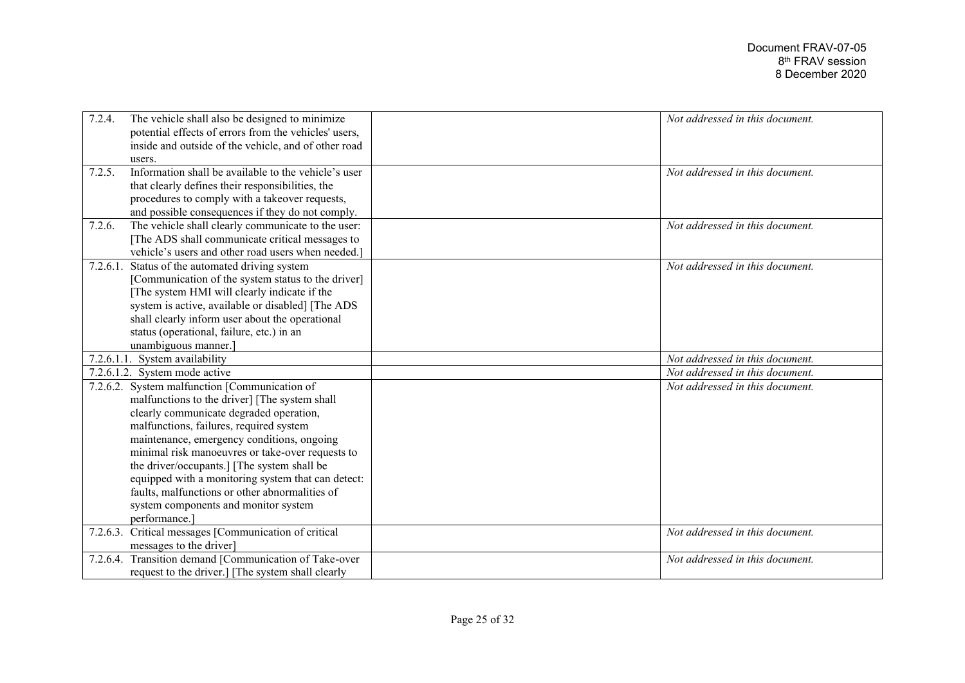| 7.2.4.   | The vehicle shall also be designed to minimize         | Not addressed in this document. |
|----------|--------------------------------------------------------|---------------------------------|
|          | potential effects of errors from the vehicles' users,  |                                 |
|          | inside and outside of the vehicle, and of other road   |                                 |
|          | users.                                                 |                                 |
| 7.2.5.   | Information shall be available to the vehicle's user   | Not addressed in this document. |
|          | that clearly defines their responsibilities, the       |                                 |
|          | procedures to comply with a takeover requests,         |                                 |
|          | and possible consequences if they do not comply.       |                                 |
| 7.2.6.   | The vehicle shall clearly communicate to the user:     | Not addressed in this document. |
|          | [The ADS shall communicate critical messages to        |                                 |
|          | vehicle's users and other road users when needed.]     |                                 |
| 7.2.6.1. | Status of the automated driving system                 | Not addressed in this document. |
|          | [Communication of the system status to the driver]     |                                 |
|          | The system HMI will clearly indicate if the            |                                 |
|          | system is active, available or disabled] [The ADS      |                                 |
|          | shall clearly inform user about the operational        |                                 |
|          | status (operational, failure, etc.) in an              |                                 |
|          | unambiguous manner.                                    |                                 |
|          | 7.2.6.1.1. System availability                         | Not addressed in this document. |
|          | 7.2.6.1.2. System mode active                          | Not addressed in this document. |
|          | 7.2.6.2. System malfunction [Communication of          | Not addressed in this document. |
|          | malfunctions to the driver] [The system shall          |                                 |
|          | clearly communicate degraded operation,                |                                 |
|          | malfunctions, failures, required system                |                                 |
|          | maintenance, emergency conditions, ongoing             |                                 |
|          | minimal risk manoeuvres or take-over requests to       |                                 |
|          | the driver/occupants.] [The system shall be            |                                 |
|          | equipped with a monitoring system that can detect:     |                                 |
|          | faults, malfunctions or other abnormalities of         |                                 |
|          | system components and monitor system                   |                                 |
|          | performance.]                                          |                                 |
| 7.2.6.3. | Critical messages [Communication of critical           | Not addressed in this document. |
|          | messages to the driver]                                |                                 |
|          | 7.2.6.4. Transition demand [Communication of Take-over | Not addressed in this document. |
|          | request to the driver.] [The system shall clearly      |                                 |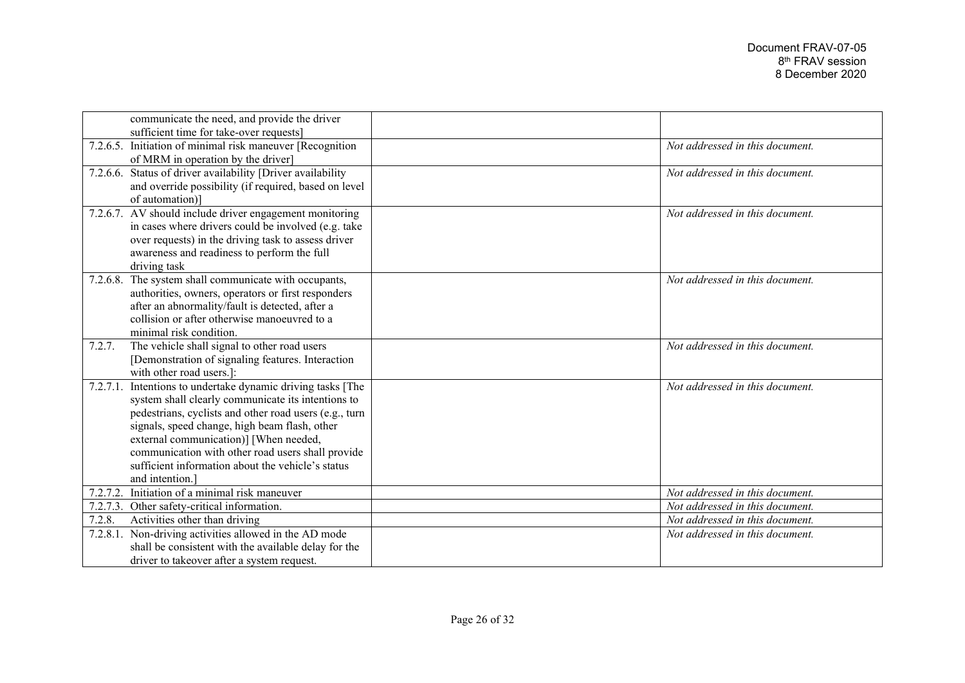|          | communicate the need, and provide the driver                |                                 |
|----------|-------------------------------------------------------------|---------------------------------|
|          | sufficient time for take-over requests]                     |                                 |
|          | 7.2.6.5. Initiation of minimal risk maneuver [Recognition]  | Not addressed in this document. |
|          | of MRM in operation by the driver]                          |                                 |
|          | 7.2.6.6. Status of driver availability [Driver availability | Not addressed in this document. |
|          | and override possibility (if required, based on level       |                                 |
|          | of automation)]                                             |                                 |
|          | 7.2.6.7. AV should include driver engagement monitoring     | Not addressed in this document. |
|          | in cases where drivers could be involved (e.g. take         |                                 |
|          | over requests) in the driving task to assess driver         |                                 |
|          | awareness and readiness to perform the full                 |                                 |
|          | driving task                                                |                                 |
|          | 7.2.6.8. The system shall communicate with occupants,       | Not addressed in this document. |
|          | authorities, owners, operators or first responders          |                                 |
|          | after an abnormality/fault is detected, after a             |                                 |
|          | collision or after otherwise manoeuvred to a                |                                 |
|          | minimal risk condition.                                     |                                 |
| 7.2.7.   | The vehicle shall signal to other road users                | Not addressed in this document. |
|          | [Demonstration of signaling features. Interaction           |                                 |
|          | with other road users.]:                                    |                                 |
|          |                                                             |                                 |
| 7.2.7.1. | Intentions to undertake dynamic driving tasks [The          | Not addressed in this document. |
|          | system shall clearly communicate its intentions to          |                                 |
|          | pedestrians, cyclists and other road users (e.g., turn      |                                 |
|          | signals, speed change, high beam flash, other               |                                 |
|          | external communication)] [When needed,                      |                                 |
|          | communication with other road users shall provide           |                                 |
|          | sufficient information about the vehicle's status           |                                 |
|          | and intention.]                                             |                                 |
| 7.2.7.2. | Initiation of a minimal risk maneuver                       | Not addressed in this document. |
| 7.2.7.3. | Other safety-critical information.                          | Not addressed in this document. |
| 7.2.8.   | Activities other than driving                               | Not addressed in this document. |
| 7.2.8.1. | Non-driving activities allowed in the AD mode               | Not addressed in this document. |
|          | shall be consistent with the available delay for the        |                                 |
|          | driver to takeover after a system request.                  |                                 |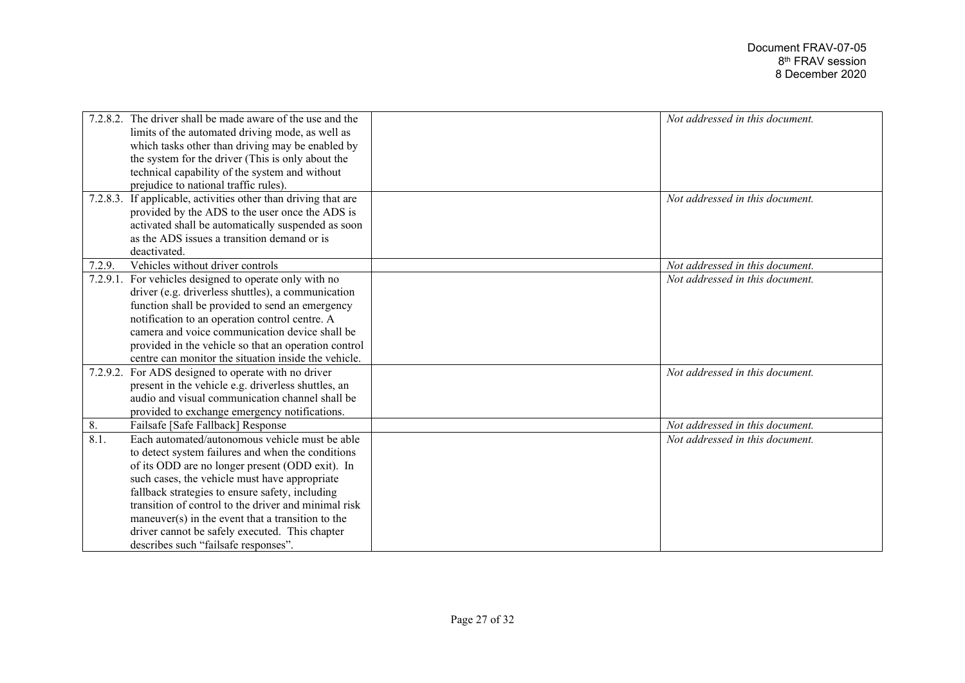|          | 7.2.8.2. The driver shall be made aware of the use and the | Not addressed in this document. |
|----------|------------------------------------------------------------|---------------------------------|
|          | limits of the automated driving mode, as well as           |                                 |
|          | which tasks other than driving may be enabled by           |                                 |
|          | the system for the driver (This is only about the          |                                 |
|          | technical capability of the system and without             |                                 |
|          | prejudice to national traffic rules).                      |                                 |
| 7.2.8.3. | If applicable, activities other than driving that are      | Not addressed in this document. |
|          | provided by the ADS to the user once the ADS is            |                                 |
|          | activated shall be automatically suspended as soon         |                                 |
|          | as the ADS issues a transition demand or is                |                                 |
|          | deactivated.                                               |                                 |
| 7.2.9.   | Vehicles without driver controls                           | Not addressed in this document. |
| 7.2.9.1. | For vehicles designed to operate only with no              | Not addressed in this document. |
|          | driver (e.g. driverless shuttles), a communication         |                                 |
|          | function shall be provided to send an emergency            |                                 |
|          | notification to an operation control centre. A             |                                 |
|          | camera and voice communication device shall be             |                                 |
|          | provided in the vehicle so that an operation control       |                                 |
|          | centre can monitor the situation inside the vehicle.       |                                 |
| 7.2.9.2. | For ADS designed to operate with no driver                 | Not addressed in this document. |
|          | present in the vehicle e.g. driverless shuttles, an        |                                 |
|          | audio and visual communication channel shall be            |                                 |
|          | provided to exchange emergency notifications.              |                                 |
| 8.       | Failsafe [Safe Fallback] Response                          | Not addressed in this document. |
| 8.1.     | Each automated/autonomous vehicle must be able             | Not addressed in this document. |
|          | to detect system failures and when the conditions          |                                 |
|          | of its ODD are no longer present (ODD exit). In            |                                 |
|          | such cases, the vehicle must have appropriate              |                                 |
|          | fallback strategies to ensure safety, including            |                                 |
|          | transition of control to the driver and minimal risk       |                                 |
|          | maneuver $(s)$ in the event that a transition to the       |                                 |
|          | driver cannot be safely executed. This chapter             |                                 |
|          | describes such "failsafe responses".                       |                                 |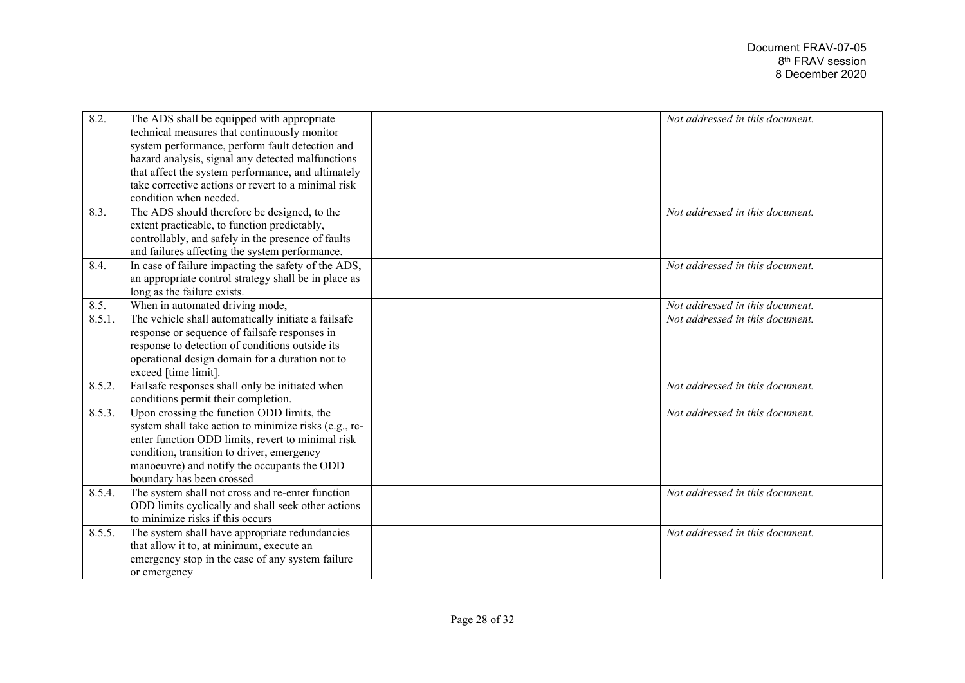| 8.2.   | The ADS shall be equipped with appropriate<br>technical measures that continuously monitor                | Not addressed in this document. |
|--------|-----------------------------------------------------------------------------------------------------------|---------------------------------|
|        | system performance, perform fault detection and                                                           |                                 |
|        | hazard analysis, signal any detected malfunctions                                                         |                                 |
|        | that affect the system performance, and ultimately<br>take corrective actions or revert to a minimal risk |                                 |
|        | condition when needed.                                                                                    |                                 |
| 8.3.   |                                                                                                           | Not addressed in this document. |
|        | The ADS should therefore be designed, to the                                                              |                                 |
|        | extent practicable, to function predictably,                                                              |                                 |
|        | controllably, and safely in the presence of faults                                                        |                                 |
|        | and failures affecting the system performance.                                                            |                                 |
| 8.4.   | In case of failure impacting the safety of the ADS,                                                       | Not addressed in this document. |
|        | an appropriate control strategy shall be in place as                                                      |                                 |
|        | long as the failure exists.                                                                               |                                 |
| 8.5.   | When in automated driving mode,                                                                           | Not addressed in this document. |
| 8.5.1. | The vehicle shall automatically initiate a failsafe                                                       | Not addressed in this document. |
|        | response or sequence of failsafe responses in                                                             |                                 |
|        | response to detection of conditions outside its                                                           |                                 |
|        | operational design domain for a duration not to                                                           |                                 |
|        | exceed [time limit].                                                                                      |                                 |
| 8.5.2. | Failsafe responses shall only be initiated when                                                           | Not addressed in this document. |
|        | conditions permit their completion.                                                                       |                                 |
| 8.5.3. | Upon crossing the function ODD limits, the                                                                | Not addressed in this document. |
|        | system shall take action to minimize risks (e.g., re-                                                     |                                 |
|        | enter function ODD limits, revert to minimal risk                                                         |                                 |
|        | condition, transition to driver, emergency                                                                |                                 |
|        | manoeuvre) and notify the occupants the ODD                                                               |                                 |
|        | boundary has been crossed                                                                                 |                                 |
| 8.5.4. | The system shall not cross and re-enter function                                                          | Not addressed in this document. |
|        | ODD limits cyclically and shall seek other actions                                                        |                                 |
|        | to minimize risks if this occurs                                                                          |                                 |
| 8.5.5. | The system shall have appropriate redundancies                                                            | Not addressed in this document. |
|        | that allow it to, at minimum, execute an                                                                  |                                 |
|        | emergency stop in the case of any system failure                                                          |                                 |
|        | or emergency                                                                                              |                                 |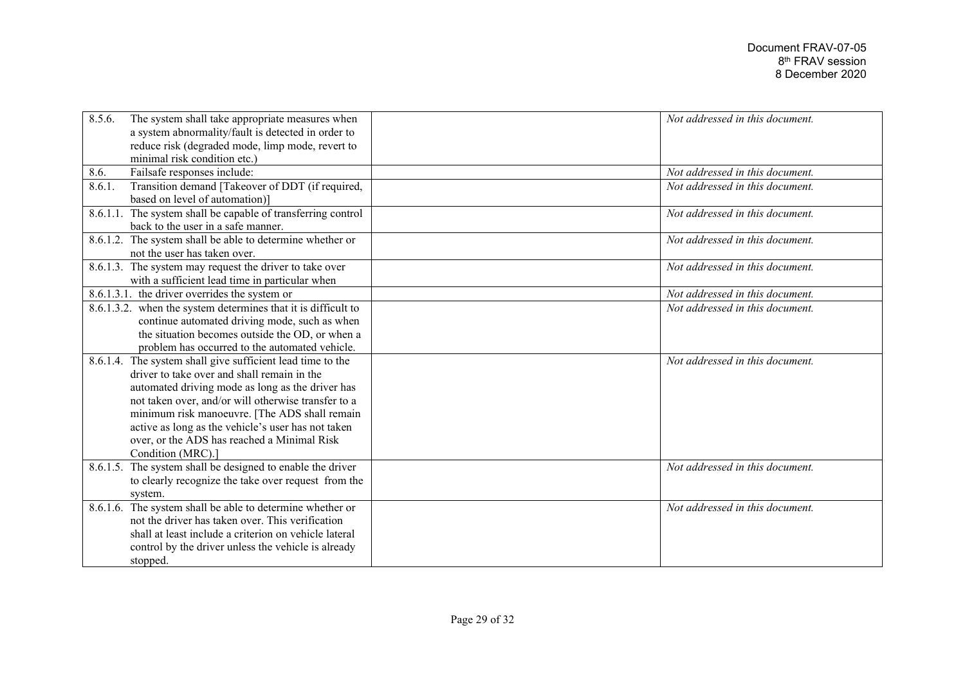| 8.5.6.<br>The system shall take appropriate measures when<br>a system abnormality/fault is detected in order to<br>reduce risk (degraded mode, limp mode, revert to | Not addressed in this document. |
|---------------------------------------------------------------------------------------------------------------------------------------------------------------------|---------------------------------|
| minimal risk condition etc.)                                                                                                                                        |                                 |
| Failsafe responses include:<br>8.6.                                                                                                                                 | Not addressed in this document. |
| Transition demand [Takeover of DDT (if required,<br>8.6.1.<br>based on level of automation)]                                                                        | Not addressed in this document. |
| 8.6.1.1. The system shall be capable of transferring control<br>back to the user in a safe manner.                                                                  | Not addressed in this document. |
| 8.6.1.2. The system shall be able to determine whether or<br>not the user has taken over.                                                                           | Not addressed in this document. |
| 8.6.1.3. The system may request the driver to take over<br>with a sufficient lead time in particular when                                                           | Not addressed in this document. |
| $8.6.1.3.1$ . the driver overrides the system or                                                                                                                    | Not addressed in this document. |
| 8.6.1.3.2. when the system determines that it is difficult to                                                                                                       | Not addressed in this document. |
| continue automated driving mode, such as when                                                                                                                       |                                 |
| the situation becomes outside the OD, or when a                                                                                                                     |                                 |
| problem has occurred to the automated vehicle.                                                                                                                      |                                 |
| 8.6.1.4. The system shall give sufficient lead time to the                                                                                                          | Not addressed in this document. |
| driver to take over and shall remain in the                                                                                                                         |                                 |
| automated driving mode as long as the driver has                                                                                                                    |                                 |
| not taken over, and/or will otherwise transfer to a                                                                                                                 |                                 |
| minimum risk manoeuvre. [The ADS shall remain                                                                                                                       |                                 |
| active as long as the vehicle's user has not taken                                                                                                                  |                                 |
| over, or the ADS has reached a Minimal Risk                                                                                                                         |                                 |
| Condition (MRC).]                                                                                                                                                   |                                 |
| 8.6.1.5. The system shall be designed to enable the driver                                                                                                          | Not addressed in this document. |
| to clearly recognize the take over request from the                                                                                                                 |                                 |
| system.                                                                                                                                                             |                                 |
| 8.6.1.6. The system shall be able to determine whether or<br>not the driver has taken over. This verification                                                       | Not addressed in this document. |
|                                                                                                                                                                     |                                 |
| shall at least include a criterion on vehicle lateral                                                                                                               |                                 |
| control by the driver unless the vehicle is already                                                                                                                 |                                 |
| stopped.                                                                                                                                                            |                                 |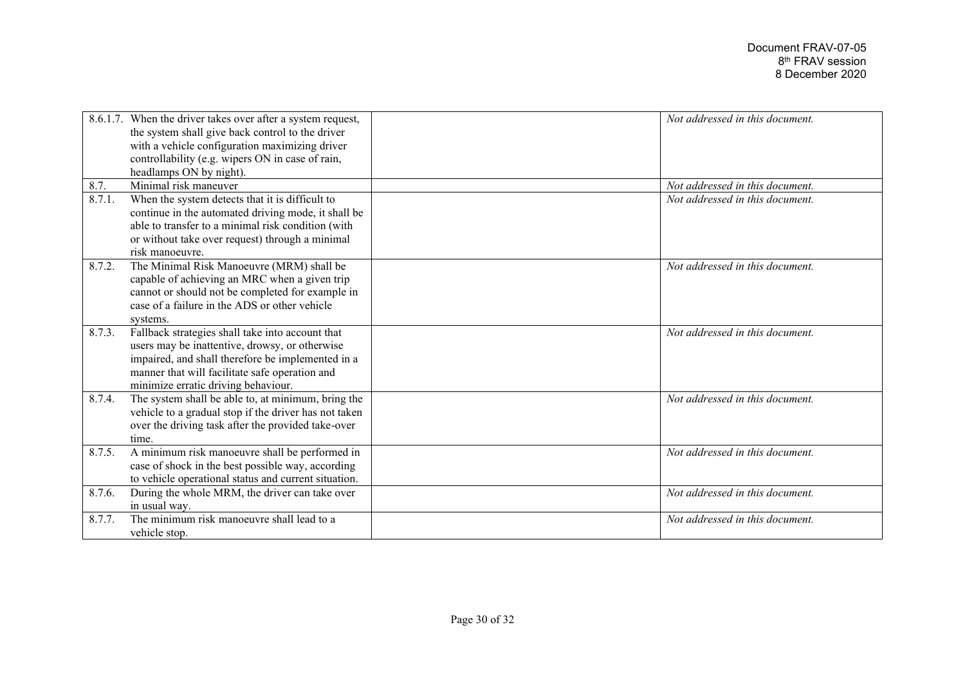|        | 8.6.1.7. When the driver takes over after a system request, | Not addressed in this document. |
|--------|-------------------------------------------------------------|---------------------------------|
|        | the system shall give back control to the driver            |                                 |
|        | with a vehicle configuration maximizing driver              |                                 |
|        | controllability (e.g. wipers ON in case of rain,            |                                 |
|        | headlamps ON by night).                                     |                                 |
| 8.7.   | Minimal risk maneuver                                       | Not addressed in this document. |
| 8.7.1. | When the system detects that it is difficult to             | Not addressed in this document. |
|        | continue in the automated driving mode, it shall be         |                                 |
|        | able to transfer to a minimal risk condition (with          |                                 |
|        | or without take over request) through a minimal             |                                 |
|        | risk manoeuvre.                                             |                                 |
| 8.7.2. | The Minimal Risk Manoeuvre (MRM) shall be                   | Not addressed in this document. |
|        | capable of achieving an MRC when a given trip               |                                 |
|        | cannot or should not be completed for example in            |                                 |
|        | case of a failure in the ADS or other vehicle               |                                 |
|        | systems.                                                    |                                 |
| 8.7.3. | Fallback strategies shall take into account that            | Not addressed in this document. |
|        | users may be inattentive, drowsy, or otherwise              |                                 |
|        | impaired, and shall therefore be implemented in a           |                                 |
|        | manner that will facilitate safe operation and              |                                 |
|        | minimize erratic driving behaviour.                         |                                 |
| 8.7.4. | The system shall be able to, at minimum, bring the          | Not addressed in this document. |
|        | vehicle to a gradual stop if the driver has not taken       |                                 |
|        | over the driving task after the provided take-over          |                                 |
|        | time.                                                       |                                 |
| 8.7.5. | A minimum risk manoeuvre shall be performed in              | Not addressed in this document. |
|        | case of shock in the best possible way, according           |                                 |
|        | to vehicle operational status and current situation.        |                                 |
| 8.7.6. | During the whole MRM, the driver can take over              | Not addressed in this document. |
|        | in usual way.                                               |                                 |
| 8.7.7. | The minimum risk manoeuvre shall lead to a                  | Not addressed in this document. |
|        | vehicle stop.                                               |                                 |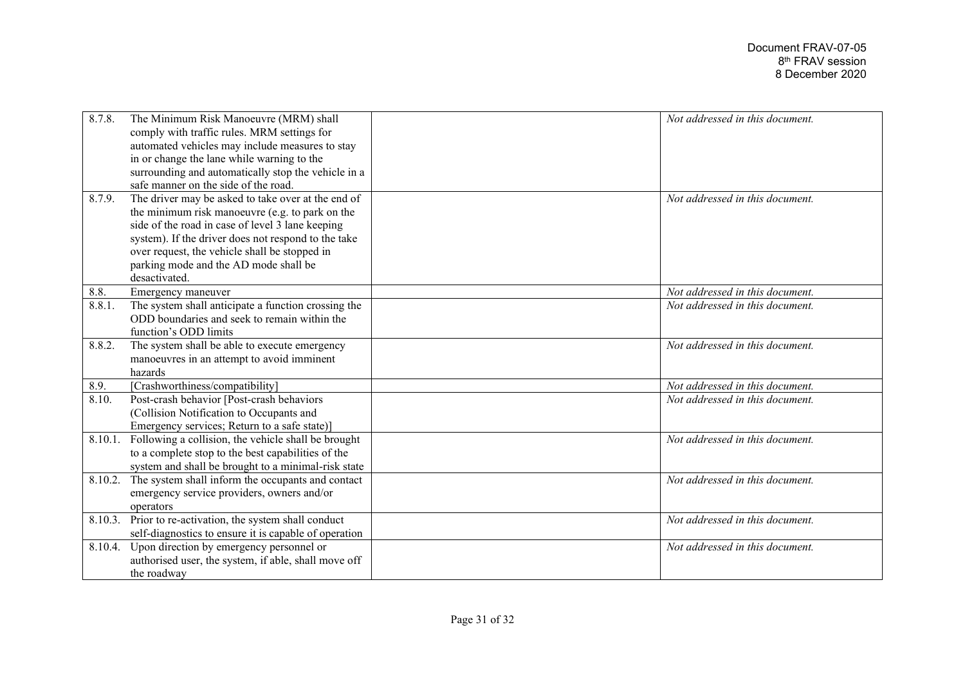| 8.7.8.  | The Minimum Risk Manoeuvre (MRM) shall                | Not addressed in this document. |
|---------|-------------------------------------------------------|---------------------------------|
|         | comply with traffic rules. MRM settings for           |                                 |
|         | automated vehicles may include measures to stay       |                                 |
|         | in or change the lane while warning to the            |                                 |
|         | surrounding and automatically stop the vehicle in a   |                                 |
|         | safe manner on the side of the road.                  |                                 |
| 8.7.9.  | The driver may be asked to take over at the end of    | Not addressed in this document. |
|         | the minimum risk manoeuvre (e.g. to park on the       |                                 |
|         | side of the road in case of level 3 lane keeping      |                                 |
|         | system). If the driver does not respond to the take   |                                 |
|         | over request, the vehicle shall be stopped in         |                                 |
|         | parking mode and the AD mode shall be                 |                                 |
|         | desactivated.                                         |                                 |
| 8.8.    | Emergency maneuver                                    | Not addressed in this document. |
| 8.8.1.  | The system shall anticipate a function crossing the   | Not addressed in this document. |
|         | ODD boundaries and seek to remain within the          |                                 |
|         | function's ODD limits                                 |                                 |
| 8.8.2.  | The system shall be able to execute emergency         | Not addressed in this document. |
|         | manoeuvres in an attempt to avoid imminent            |                                 |
|         | hazards                                               |                                 |
| 8.9.    | [Crashworthiness/compatibility]                       | Not addressed in this document. |
| 8.10.   | Post-crash behavior [Post-crash behaviors             | Not addressed in this document. |
|         | (Collision Notification to Occupants and              |                                 |
|         | Emergency services; Return to a safe state)]          |                                 |
| 8.10.1. | Following a collision, the vehicle shall be brought   | Not addressed in this document. |
|         | to a complete stop to the best capabilities of the    |                                 |
|         | system and shall be brought to a minimal-risk state   |                                 |
| 8.10.2. | The system shall inform the occupants and contact     | Not addressed in this document. |
|         | emergency service providers, owners and/or            |                                 |
|         | operators                                             |                                 |
| 8.10.3. | Prior to re-activation, the system shall conduct      | Not addressed in this document. |
|         | self-diagnostics to ensure it is capable of operation |                                 |
| 8.10.4. | Upon direction by emergency personnel or              | Not addressed in this document. |
|         | authorised user, the system, if able, shall move off  |                                 |
|         | the roadway                                           |                                 |